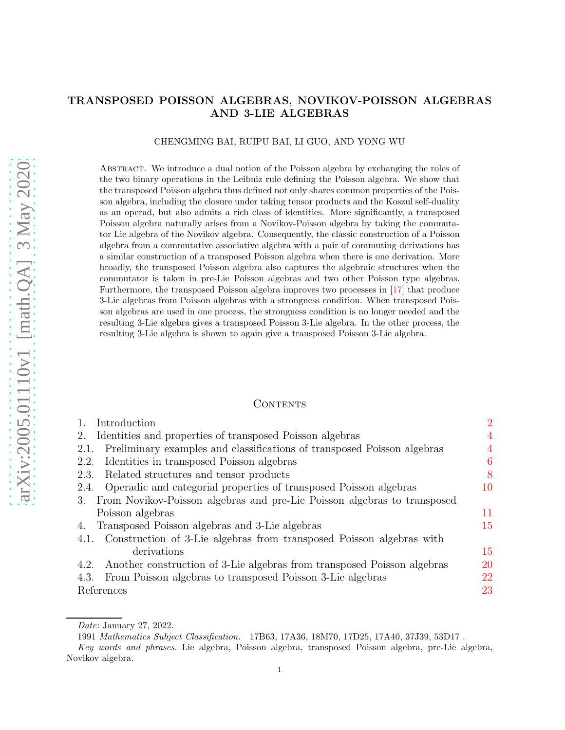# TRANSPOSED POISSON ALGEBRAS, NOVIKOV-POISSON ALGEBRAS AND 3-LIE ALGEBRAS

### CHENGMING BAI, RUIPU BAI, LI GUO, AND YONG WU

Abstract. We introduce a dual notion of the Poisson algebra by exchanging the roles of the two binary operations in the Leibniz rule defining the Poisson algebra. We show that the transposed Poisson algebra thus defined not only shares common properties of the Poisson algebra, including the closure under taking tensor products and the Koszul self-duality as an operad, but also admits a rich class of identities. More significantly, a transposed Poisson algebra naturally arises from a Novikov-Poisson algebra by taking the commutator Lie algebra of the Novikov algebra. Consequently, the classic construction of a Poisson algebra from a commutative associative algebra with a pair of commuting derivations has a similar construction of a transposed Poisson algebra when there is one derivation. More broadly, the transposed Poisson algebra also captures the algebraic structures when the commutator is taken in pre-Lie Poisson algebras and two other Poisson type algebras. Furthermore, the transposed Poisson algebra improves two processes in [17] that produce 3-Lie algebras from Poisson algebras with a strongness condition. When transposed Poisson algebras are used in one process, the strongness condition is no longer needed and the resulting 3-Lie algebra gives a transposed Poisson 3-Lie algebra. In the other process, the resulting 3-Lie algebra is shown to again give a transposed Poisson 3-Lie algebra.

### **CONTENTS**

| Introduction                                                                    | $\overline{2}$ |
|---------------------------------------------------------------------------------|----------------|
| Identities and properties of transposed Poisson algebras<br>2.                  | $\overline{4}$ |
| Preliminary examples and classifications of transposed Poisson algebras<br>2.1. | 4              |
| Identities in transposed Poisson algebras<br>2.2.                               | 6              |
| Related structures and tensor products<br>2.3.                                  | 8              |
| Operadic and categorial properties of transposed Poisson algebras<br>2.4.       | 10             |
| From Novikov-Poisson algebras and pre-Lie Poisson algebras to transposed<br>3.  |                |
| Poisson algebras                                                                | 11             |
| Transposed Poisson algebras and 3-Lie algebras<br>4.                            | 15             |
| 4.1. Construction of 3-Lie algebras from transposed Poisson algebras with       |                |
| derivations                                                                     | 15             |
| Another construction of 3-Lie algebras from transposed Poisson algebras<br>4.2. | 20             |
| From Poisson algebras to transposed Poisson 3-Lie algebras<br>4.3.              | 22             |
| References                                                                      | 23             |

Date: January 27, 2022.

<sup>1991</sup> Mathematics Subject Classification. 17B63, 17A36, 18M70, 17D25, 17A40, 37J39, 53D17 .

Key words and phrases. Lie algebra, Poisson algebra, transposed Poisson algebra, pre-Lie algebra, Novikov algebra.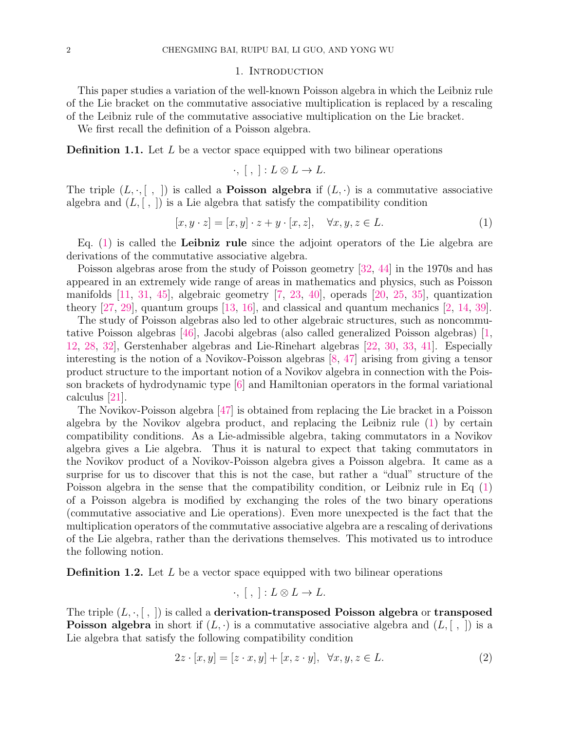#### 1. INTRODUCTION

This paper studies a variation of the well-known Poisson algebra in which the Leibniz rule of the Lie bracket on the commutative associative multiplication is replaced by a rescaling of the Leibniz rule of the commutative associative multiplication on the Lie bracket.

We first recall the definition of a Poisson algebra.

**Definition 1.1.** Let  $L$  be a vector space equipped with two bilinear operations

$$
\cdot, [ , ] : L \otimes L \to L.
$$

The triple  $(L, \cdot, [\ , \ ])$  is called a **Poisson algebra** if  $(L, \cdot)$  is a commutative associative algebra and  $(L, \lceil, \rceil)$  is a Lie algebra that satisfy the compatibility condition

$$
[x, y \cdot z] = [x, y] \cdot z + y \cdot [x, z], \quad \forall x, y, z \in L.
$$
\n
$$
(1)
$$

Eq.  $(1)$  is called the **Leibniz rule** since the adjoint operators of the Lie algebra are derivations of the commutative associative algebra.

Poisson algebras arose from the study of Poisson geometry [32, 44] in the 1970s and has appeared in an extremely wide range of areas in mathematics and physics, such as Poisson manifolds [11, 31, 45], algebraic geometry [7, 23, 40], operads [20, 25, 35], quantization theory [27, 29], quantum groups [13, 16], and classical and quantum mechanics [2, 14, 39].

The study of Poisson algebras also led to other algebraic structures, such as noncommutative Poisson algebras [46], Jacobi algebras (also called generalized Poisson algebras) [1, 12, 28, 32], Gerstenhaber algebras and Lie-Rinehart algebras [22, 30, 33, 41]. Especially interesting is the notion of a Novikov-Poisson algebras [8, 47] arising from giving a tensor product structure to the important notion of a Novikov algebra in connection with the Poisson brackets of hydrodynamic type [6] and Hamiltonian operators in the formal variational calculus [21].

The Novikov-Poisson algebra [47] is obtained from replacing the Lie bracket in a Poisson algebra by the Novikov algebra product, and replacing the Leibniz rule (1) by certain compatibility conditions. As a Lie-admissible algebra, taking commutators in a Novikov algebra gives a Lie algebra. Thus it is natural to expect that taking commutators in the Novikov product of a Novikov-Poisson algebra gives a Poisson algebra. It came as a surprise for us to discover that this is not the case, but rather a "dual" structure of the Poisson algebra in the sense that the compatibility condition, or Leibniz rule in Eq (1) of a Poisson algebra is modified by exchanging the roles of the two binary operations (commutative associative and Lie operations). Even more unexpected is the fact that the multiplication operators of the commutative associative algebra are a rescaling of derivations of the Lie algebra, rather than the derivations themselves. This motivated us to introduce the following notion.

**Definition 1.2.** Let  $L$  be a vector space equipped with two bilinear operations

$$
\cdot, [ , ] : L \otimes L \to L.
$$

The triple  $(L, \cdot, [ , ])$  is called a **derivation-transposed Poisson algebra** or **transposed Poisson algebra** in short if  $(L, \cdot)$  is a commutative associative algebra and  $(L, [\ , \ ])$  is a Lie algebra that satisfy the following compatibility condition

$$
2z \cdot [x, y] = [z \cdot x, y] + [x, z \cdot y], \quad \forall x, y, z \in L.
$$
\n
$$
(2)
$$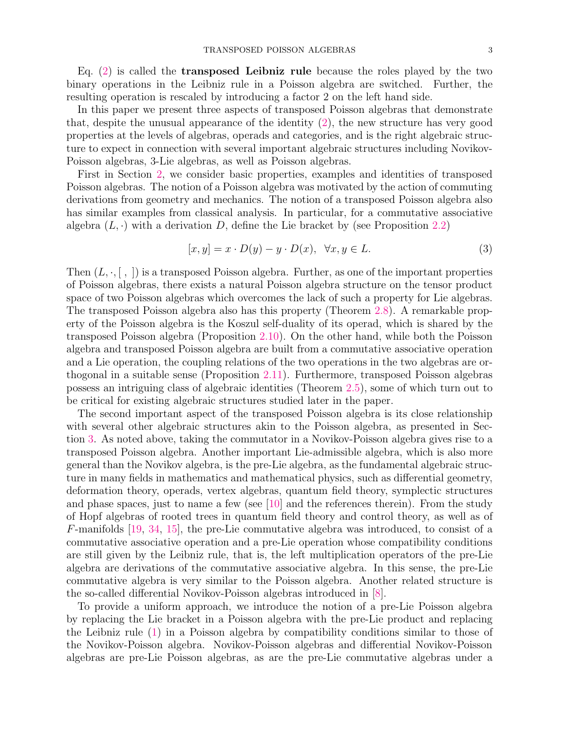Eq.  $(2)$  is called the **transposed Leibniz rule** because the roles played by the two binary operations in the Leibniz rule in a Poisson algebra are switched. Further, the resulting operation is rescaled by introducing a factor 2 on the left hand side.

In this paper we present three aspects of transposed Poisson algebras that demonstrate that, despite the unusual appearance of the identity (2), the new structure has very good properties at the levels of algebras, operads and categories, and is the right algebraic structure to expect in connection with several important algebraic structures including Novikov-Poisson algebras, 3-Lie algebras, as well as Poisson algebras.

First in Section 2, we consider basic properties, examples and identities of transposed Poisson algebras. The notion of a Poisson algebra was motivated by the action of commuting derivations from geometry and mechanics. The notion of a transposed Poisson algebra also has similar examples from classical analysis. In particular, for a commutative associative algebra  $(L, \cdot)$  with a derivation D, define the Lie bracket by (see Proposition 2.2)

$$
[x, y] = x \cdot D(y) - y \cdot D(x), \quad \forall x, y \in L. \tag{3}
$$

Then  $(L, \cdot, [\cdot,])$  is a transposed Poisson algebra. Further, as one of the important properties of Poisson algebras, there exists a natural Poisson algebra structure on the tensor product space of two Poisson algebras which overcomes the lack of such a property for Lie algebras. The transposed Poisson algebra also has this property (Theorem 2.8). A remarkable property of the Poisson algebra is the Koszul self-duality of its operad, which is shared by the transposed Poisson algebra (Proposition 2.10). On the other hand, while both the Poisson algebra and transposed Poisson algebra are built from a commutative associative operation and a Lie operation, the coupling relations of the two operations in the two algebras are orthogonal in a suitable sense (Proposition 2.11). Furthermore, transposed Poisson algebras possess an intriguing class of algebraic identities (Theorem 2.5), some of which turn out to be critical for existing algebraic structures studied later in the paper.

The second important aspect of the transposed Poisson algebra is its close relationship with several other algebraic structures akin to the Poisson algebra, as presented in Section 3. As noted above, taking the commutator in a Novikov-Poisson algebra gives rise to a transposed Poisson algebra. Another important Lie-admissible algebra, which is also more general than the Novikov algebra, is the pre-Lie algebra, as the fundamental algebraic structure in many fields in mathematics and mathematical physics, such as differential geometry, deformation theory, operads, vertex algebras, quantum field theory, symplectic structures and phase spaces, just to name a few (see [10] and the references therein). From the study of Hopf algebras of rooted trees in quantum field theory and control theory, as well as of F-manifolds [19, 34, 15], the pre-Lie commutative algebra was introduced, to consist of a commutative associative operation and a pre-Lie operation whose compatibility conditions are still given by the Leibniz rule, that is, the left multiplication operators of the pre-Lie algebra are derivations of the commutative associative algebra. In this sense, the pre-Lie commutative algebra is very similar to the Poisson algebra. Another related structure is the so-called differential Novikov-Poisson algebras introduced in [8].

To provide a uniform approach, we introduce the notion of a pre-Lie Poisson algebra by replacing the Lie bracket in a Poisson algebra with the pre-Lie product and replacing the Leibniz rule (1) in a Poisson algebra by compatibility conditions similar to those of the Novikov-Poisson algebra. Novikov-Poisson algebras and differential Novikov-Poisson algebras are pre-Lie Poisson algebras, as are the pre-Lie commutative algebras under a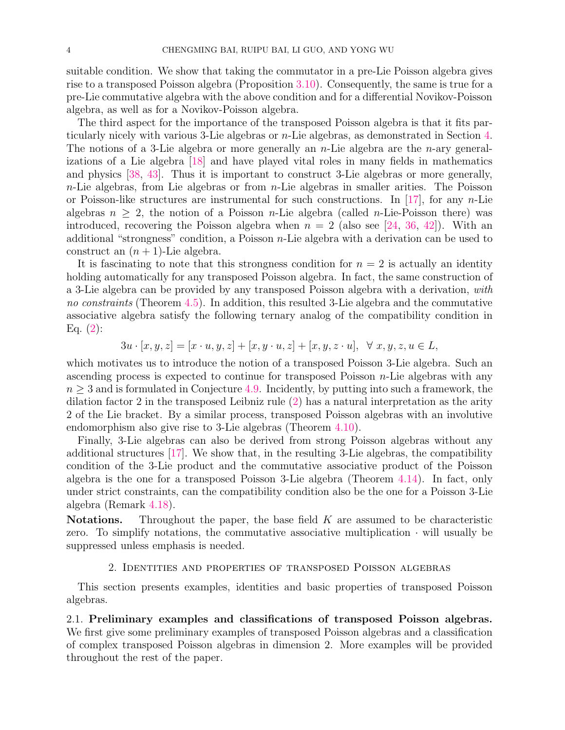suitable condition. We show that taking the commutator in a pre-Lie Poisson algebra gives rise to a transposed Poisson algebra (Proposition 3.10). Consequently, the same is true for a pre-Lie commutative algebra with the above condition and for a differential Novikov-Poisson algebra, as well as for a Novikov-Poisson algebra.

The third aspect for the importance of the transposed Poisson algebra is that it fits particularly nicely with various 3-Lie algebras or n-Lie algebras, as demonstrated in Section 4. The notions of a 3-Lie algebra or more generally an *n*-Lie algebra are the *n*-ary generalizations of a Lie algebra [18] and have played vital roles in many fields in mathematics and physics [38, 43]. Thus it is important to construct 3-Lie algebras or more generally,  $n$ -Lie algebras, from Lie algebras or from  $n$ -Lie algebras in smaller arities. The Poisson or Poisson-like structures are instrumental for such constructions. In [17], for any  $n$ -Lie algebras  $n \geq 2$ , the notion of a Poisson *n*-Lie algebra (called *n*-Lie-Poisson there) was introduced, recovering the Poisson algebra when  $n = 2$  (also see [24, 36, 42]). With an additional "strongness" condition, a Poisson  $n$ -Lie algebra with a derivation can be used to construct an  $(n + 1)$ -Lie algebra.

It is fascinating to note that this strongness condition for  $n = 2$  is actually an identity holding automatically for any transposed Poisson algebra. In fact, the same construction of a 3-Lie algebra can be provided by any transposed Poisson algebra with a derivation, with no constraints (Theorem 4.5). In addition, this resulted 3-Lie algebra and the commutative associative algebra satisfy the following ternary analog of the compatibility condition in Eq.  $(2)$ :

 $3u \cdot [x, y, z] = [x \cdot u, y, z] + [x, y \cdot u, z] + [x, y, z \cdot u], \ \forall x, y, z, u \in L,$ 

which motivates us to introduce the notion of a transposed Poisson 3-Lie algebra. Such an ascending process is expected to continue for transposed Poisson  $n$ -Lie algebras with any  $n \geq 3$  and is formulated in Conjecture 4.9. Incidently, by putting into such a framework, the dilation factor 2 in the transposed Leibniz rule (2) has a natural interpretation as the arity 2 of the Lie bracket. By a similar process, transposed Poisson algebras with an involutive endomorphism also give rise to 3-Lie algebras (Theorem 4.10).

Finally, 3-Lie algebras can also be derived from strong Poisson algebras without any additional structures [17]. We show that, in the resulting 3-Lie algebras, the compatibility condition of the 3-Lie product and the commutative associative product of the Poisson algebra is the one for a transposed Poisson 3-Lie algebra (Theorem 4.14). In fact, only under strict constraints, can the compatibility condition also be the one for a Poisson 3-Lie algebra (Remark 4.18).

**Notations.** Throughout the paper, the base field  $K$  are assumed to be characteristic zero. To simplify notations, the commutative associative multiplication  $\cdot$  will usually be suppressed unless emphasis is needed.

### 2. Identities and properties of transposed Poisson algebras

This section presents examples, identities and basic properties of transposed Poisson algebras.

2.1. Preliminary examples and classifications of transposed Poisson algebras. We first give some preliminary examples of transposed Poisson algebras and a classification of complex transposed Poisson algebras in dimension 2. More examples will be provided throughout the rest of the paper.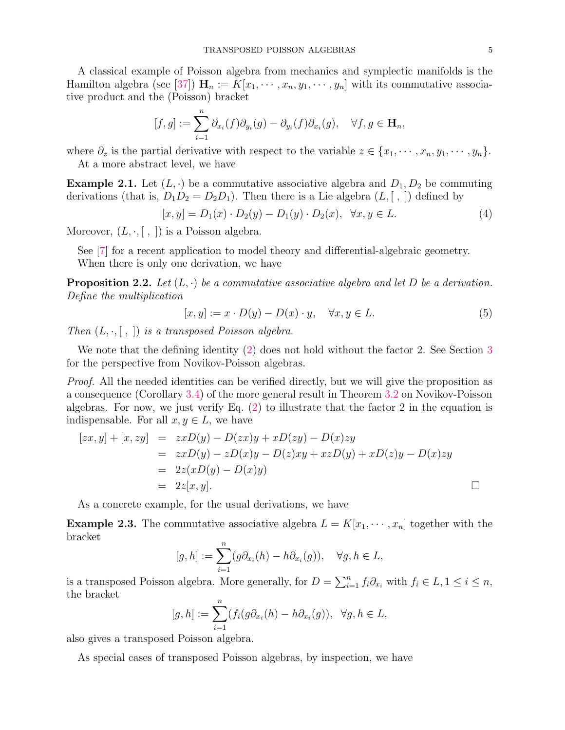A classical example of Poisson algebra from mechanics and symplectic manifolds is the Hamilton algebra (see [37])  $\mathbf{H}_n := K[x_1, \dots, x_n, y_1, \dots, y_n]$  with its commutative associative product and the (Poisson) bracket

$$
[f,g] := \sum_{i=1}^n \partial_{x_i}(f) \partial_{y_i}(g) - \partial_{y_i}(f) \partial_{x_i}(g), \quad \forall f, g \in \mathbf{H}_n,
$$

where  $\partial_z$  is the partial derivative with respect to the variable  $z \in \{x_1, \dots, x_n, y_1, \dots, y_n\}.$ At a more abstract level, we have

**Example 2.1.** Let  $(L, \cdot)$  be a commutative associative algebra and  $D_1, D_2$  be commuting derivations (that is,  $D_1D_2 = D_2D_1$ ). Then there is a Lie algebra  $(L, [ , ])$  defined by

$$
[x, y] = D_1(x) \cdot D_2(y) - D_1(y) \cdot D_2(x), \quad \forall x, y \in L.
$$
 (4)

Moreover,  $(L, \cdot, [ , ])$  is a Poisson algebra.

See [7] for a recent application to model theory and differential-algebraic geometry. When there is only one derivation, we have

**Proposition 2.2.** Let  $(L, \cdot)$  be a commutative associative algebra and let D be a derivation. Define the multiplication

$$
[x, y] := x \cdot D(y) - D(x) \cdot y, \quad \forall x, y \in L. \tag{5}
$$

Then  $(L, \cdot, [\, , \,])$  is a transposed Poisson algebra.

We note that the defining identity (2) does not hold without the factor 2. See Section 3 for the perspective from Novikov-Poisson algebras.

*Proof.* All the needed identities can be verified directly, but we will give the proposition as a consequence (Corollary 3.4) of the more general result in Theorem 3.2 on Novikov-Poisson algebras. For now, we just verify Eq.  $(2)$  to illustrate that the factor 2 in the equation is indispensable. For all  $x, y \in L$ , we have

$$
[zx, y] + [x, zy] = zxD(y) - D(zx)y + xD(zy) - D(x)zy
$$
  
= 
$$
zxD(y) - zD(x)y - D(z)xy + xzD(y) + xD(z)y - D(x)zy
$$
  
= 
$$
2z(xD(y) - D(x)y)
$$
  
= 
$$
2z[x, y].
$$

As a concrete example, for the usual derivations, we have

**Example 2.3.** The commutative associative algebra  $L = K[x_1, \dots, x_n]$  together with the bracket

$$
[g,h] := \sum_{i=1}^{n} (g\partial_{x_i}(h) - h\partial_{x_i}(g)), \quad \forall g, h \in L,
$$

is a transposed Poisson algebra. More generally, for  $D = \sum_{i=1}^{n} f_i \partial_{x_i}$  with  $f_i \in L$ ,  $1 \leq i \leq n$ , the bracket

$$
[g,h] := \sum_{i=1}^n (f_i(g\partial_{x_i}(h) - h\partial_{x_i}(g)), \ \ \forall g, h \in L,
$$

also gives a transposed Poisson algebra.

As special cases of transposed Poisson algebras, by inspection, we have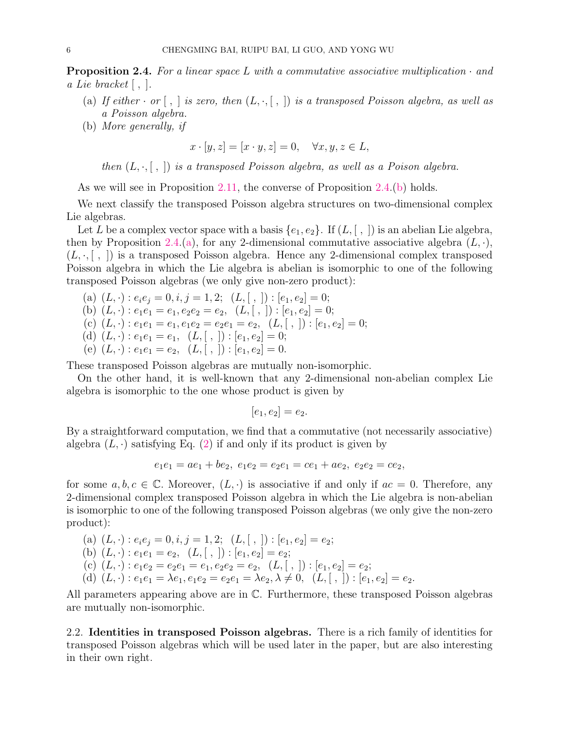**Proposition 2.4.** For a linear space L with a commutative associative multiplication  $\cdot$  and a Lie bracket  $| \, , \, | \, .$ 

- (a) If either  $\cdot$  or  $[ , ]$  is zero, then  $(L, \cdot, [ , ])$  is a transposed Poisson algebra, as well as a Poisson algebra.
- (b) More generally, if

$$
x \cdot [y, z] = [x \cdot y, z] = 0, \quad \forall x, y, z \in L,
$$

then  $(L, \cdot, [\; , \;])$  is a transposed Poisson algebra, as well as a Poison algebra.

As we will see in Proposition 2.11, the converse of Proposition 2.4.(b) holds.

We next classify the transposed Poisson algebra structures on two-dimensional complex Lie algebras.

Let L be a complex vector space with a basis  $\{e_1, e_2\}$ . If  $(L, \lceil, \rceil)$  is an abelian Lie algebra, then by Proposition 2.4.(a), for any 2-dimensional commutative associative algebra  $(L, \cdot)$ ,  $(L, \cdot, |, |)$  is a transposed Poisson algebra. Hence any 2-dimensional complex transposed Poisson algebra in which the Lie algebra is abelian is isomorphic to one of the following transposed Poisson algebras (we only give non-zero product):

(a) 
$$
(L, \cdot): e_i e_j = 0, i, j = 1, 2;
$$
  $(L, [,]) : [e_1, e_2] = 0;$   
\n(b)  $(L, \cdot): e_1 e_1 = e_1, e_2 e_2 = e_2,$   $(L, [,]) : [e_1, e_2] = 0;$   
\n(c)  $(L, \cdot): e_1 e_1 = e_1, e_1 e_2 = e_2 e_1 = e_2,$   $(L, [,]) : [e_1, e_2] = 0;$   
\n(d)  $(L, \cdot): e_1 e_1 = e_1,$   $(L, [,]) : [e_1, e_2] = 0;$   
\n(e)  $(L, \cdot): e_1 e_1 = e_2,$   $(L, [,]) : [e_1, e_2] = 0.$ 

These transposed Poisson algebras are mutually non-isomorphic.

On the other hand, it is well-known that any 2-dimensional non-abelian complex Lie algebra is isomorphic to the one whose product is given by

 $[e_1, e_2] = e_2.$ 

By a straightforward computation, we find that a commutative (not necessarily associative) algebra  $(L, \cdot)$  satisfying Eq. (2) if and only if its product is given by

$$
e_1e_1 = ae_1 + be_2, e_1e_2 = e_2e_1 = ce_1 + ae_2, e_2e_2 = ce_2,
$$

for some  $a, b, c \in \mathbb{C}$ . Moreover,  $(L, \cdot)$  is associative if and only if  $ac = 0$ . Therefore, any 2-dimensional complex transposed Poisson algebra in which the Lie algebra is non-abelian is isomorphic to one of the following transposed Poisson algebras (we only give the non-zero product):

(a) 
$$
(L, \cdot): e_i e_j = 0, i, j = 1, 2;
$$
  $(L, [,]) : [e_1, e_2] = e_2;$   
\n(b)  $(L, \cdot): e_1 e_1 = e_2$ ,  $(L, [,]) : [e_1, e_2] = e_2;$   
\n(c)  $(L, \cdot): e_1 e_2 = e_2 e_1 = e_1, e_2 e_2 = e_2$ ,  $(L, [,]) : [e_1, e_2] = e_2;$   
\n(d)  $(L, \cdot): e_1 e_1 = \lambda e_1, e_1 e_2 = e_2 e_1 = \lambda e_2, \lambda \neq 0$ ,  $(L, [,]) : [e_1, e_2] = e_2$ .

All parameters appearing above are in C. Furthermore, these transposed Poisson algebras are mutually non-isomorphic.

2.2. Identities in transposed Poisson algebras. There is a rich family of identities for transposed Poisson algebras which will be used later in the paper, but are also interesting in their own right.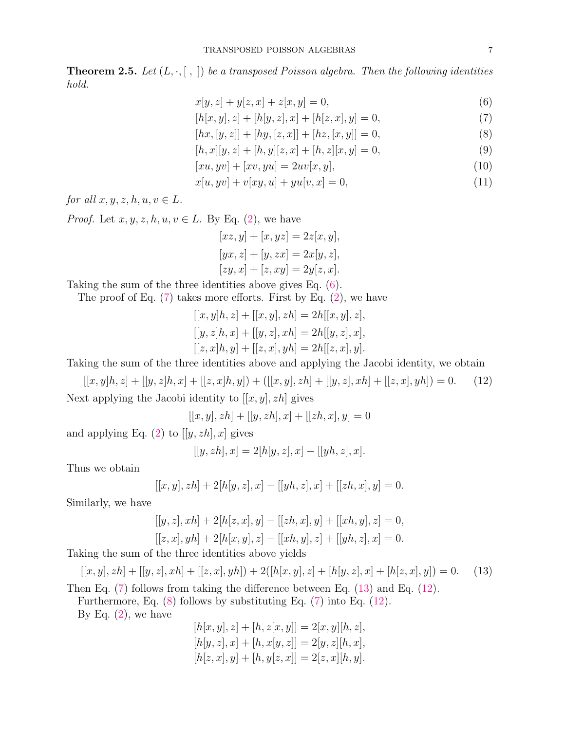**Theorem 2.5.** Let  $(L, \cdot, [\ , \ ])$  be a transposed Poisson algebra. Then the following identities hold.

$$
x[y, z] + y[z, x] + z[x, y] = 0,
$$
\n(6)

$$
[h[x, y], z] + [h[y, z], x] + [h[z, x], y] = 0,
$$
\n(7)

$$
[hx, [y, z]] + [hy, [z, x]] + [hz, [x, y]] = 0,
$$
\n(8)

$$
[h, x][y, z] + [h, y][z, x] + [h, z][x, y] = 0,
$$
\n(9)

$$
[xu, yv] + [xv, yu] = 2uv[x, y],\tag{10}
$$

$$
x[u, yv] + v[xy, u] + yu[v, x] = 0,
$$
\n(11)

for all  $x, y, z, h, u, v \in L$ .

*Proof.* Let  $x, y, z, h, u, v \in L$ . By Eq. (2), we have

$$
[xz, y] + [x, yz] = 2z[x, y],
$$
  
\n
$$
[yx, z] + [y, zx] = 2x[y, z],
$$
  
\n
$$
[zy, x] + [z, xy] = 2y[z, x].
$$

Taking the sum of the three identities above gives Eq. (6).

The proof of Eq. (7) takes more efforts. First by Eq. (2), we have

$$
[[x, y]h, z] + [[x, y], zh] = 2h[[x, y], z],[[y, z]h, x] + [[y, z], xh] = 2h[[y, z], x],[[z, x]h, y] + [[z, x], yh] = 2h[[z, x], y].
$$

Taking the sum of the three identities above and applying the Jacobi identity, we obtain

 $[[x, y]h, z] + [[y, z]h, x] + [[z, x]h, y]) +([[x, y], zh] + [[y, z], xh] + [[z, x], yh]) = 0.$  (12) Next applying the Jacobi identity to  $[[x, y], zh]$  gives

 $[[x, y], zh] + [[y, zh], x] + [[zh, x], y] = 0$ 

and applying Eq. (2) to  $[[y, zh], x]$  gives

$$
[[y, zh], x] = 2[h[y, z], x] - [[yh, z], x].
$$

Thus we obtain

$$
[[x, y], zh] + 2[h[y, z], x] - [[yh, z], x] + [[zh, x], y] = 0.
$$

Similarly, we have

$$
[[y, z], xh] + 2[h[z, x], y] - [[zh, x], y] + [[xh, y], z] = 0,[[z, x], yh] + 2[h[x, y], z] - [[xh, y], z] + [[yh, z], x] = 0.
$$

Taking the sum of the three identities above yields

$$
[[x, y], zh] + [[y, z], xh] + [[z, x], yh]) + 2([h[x, y], z] + [h[y, z], x] + [h[z, x], y]) = 0.
$$
 (13)

Then Eq. (7) follows from taking the difference between Eq. (13) and Eq. (12).

Furthermore, Eq. (8) follows by substituting Eq. (7) into Eq. (12).

By Eq.  $(2)$ , we have

$$
[h[x, y], z] + [h, z[x, y]] = 2[x, y][h, z],
$$
  
\n
$$
[h[y, z], x] + [h, x[y, z]] = 2[y, z][h, x],
$$
  
\n
$$
[h[z, x], y] + [h, y[z, x]] = 2[z, x][h, y].
$$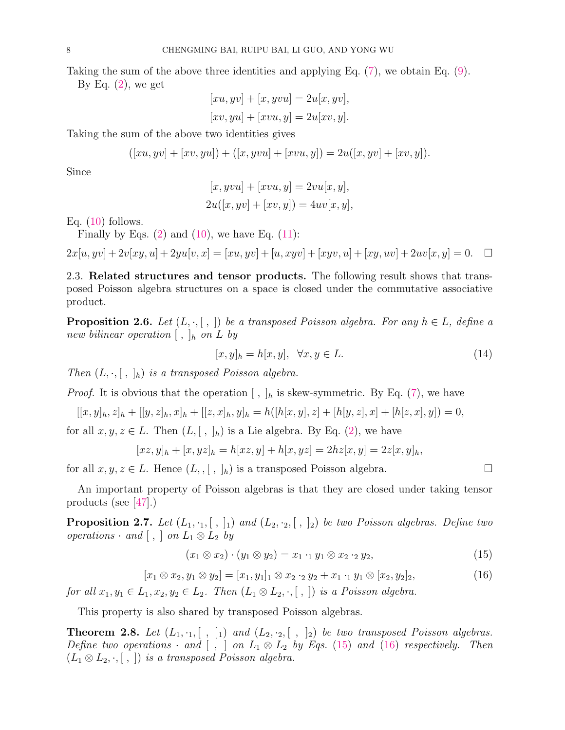Taking the sum of the above three identities and applying Eq. (7), we obtain Eq. (9).

By Eq.  $(2)$ , we get

$$
[xu, yv] + [x, yvu] = 2u[x, yv],
$$
  

$$
[xv, yu] + [xvu, y] = 2u[xv, y].
$$

Taking the sum of the above two identities gives

$$
([xu, yv] + [xv, yu]) + ([x, yvu] + [xvu, y]) = 2u([x, yv] + [xv, y]).
$$

Since

$$
[x, yvu] + [xvu, y] = 2vu[x, y],
$$
  

$$
2u([x, yv] + [xv, y]) = 4uv[x, y],
$$

Eq.  $(10)$  follows.

Finally by Eqs.  $(2)$  and  $(10)$ , we have Eq.  $(11)$ :

$$
2x[u,yv]+2v[xy,u]+2yu[v,x]=[xu,yv]+[u,xyv]+[xyv,u]+[xy,uv]+2uv[x,y]=0.\quad \Box
$$

2.3. Related structures and tensor products. The following result shows that transposed Poisson algebra structures on a space is closed under the commutative associative product.

**Proposition 2.6.** Let  $(L, \cdot, [\; , \;])$  be a transposed Poisson algebra. For any  $h \in L$ , define a new bilinear operation  $[ , ]_h$  on  $L$  by

$$
[x, y]_h = h[x, y], \quad \forall x, y \in L. \tag{14}
$$

Then  $(L, \cdot, [ , , ]_h)$  is a transposed Poisson algebra.

*Proof.* It is obvious that the operation  $\langle , \rangle_h$  is skew-symmetric. By Eq. (7), we have

$$
[[x,y]_h,z]_h+[[y,z]_h,x]_h+[[z,x]_h,y]_h=h([h[x,y],z]+[h[y,z],x]+[h[z,x],y])=0,
$$

for all  $x, y, z \in L$ . Then  $(L, [ , ]_h)$  is a Lie algebra. By Eq. (2), we have

$$
[xz, y]_h + [x, yz]_h = h[xz, y] + h[x, yz] = 2hz[x, y] = 2z[x, y]_h,
$$

for all  $x, y, z \in L$ . Hence  $(L, , [ , ]_h)$  is a transposed Poisson algebra.

An important property of Poisson algebras is that they are closed under taking tensor products (see [47].)

**Proposition 2.7.** Let  $(L_1, \cdot_1, [ , ]_1)$  and  $(L_2, \cdot_2, [ , ]_2)$  be two Poisson algebras. Define two operations  $\cdot$  and  $[ , ]$  on  $L_1 \otimes L_2$  by

$$
(x_1 \otimes x_2) \cdot (y_1 \otimes y_2) = x_1 \cdot_1 y_1 \otimes x_2 \cdot_2 y_2, \tag{15}
$$

$$
[x_1 \otimes x_2, y_1 \otimes y_2] = [x_1, y_1]_1 \otimes x_2 \cdot_2 y_2 + x_1 \cdot_1 y_1 \otimes [x_2, y_2]_2, \tag{16}
$$

for all  $x_1, y_1 \in L_1, x_2, y_2 \in L_2$ . Then  $(L_1 \otimes L_2, \cdot, [ , ])$  is a Poisson algebra.

This property is also shared by transposed Poisson algebras.

**Theorem 2.8.** Let  $(L_1, \cdot_1, [ , ]_1)$  and  $(L_2, \cdot_2, [ , ]_2)$  be two transposed Poisson algebras. Define two operations  $\cdot$  and  $[ , ]$  on  $L_1 \otimes L_2$  by Eqs. (15) and (16) respectively. Then  $(L_1 \otimes L_2, \cdot, [\ , \ ])$  is a transposed Poisson algebra.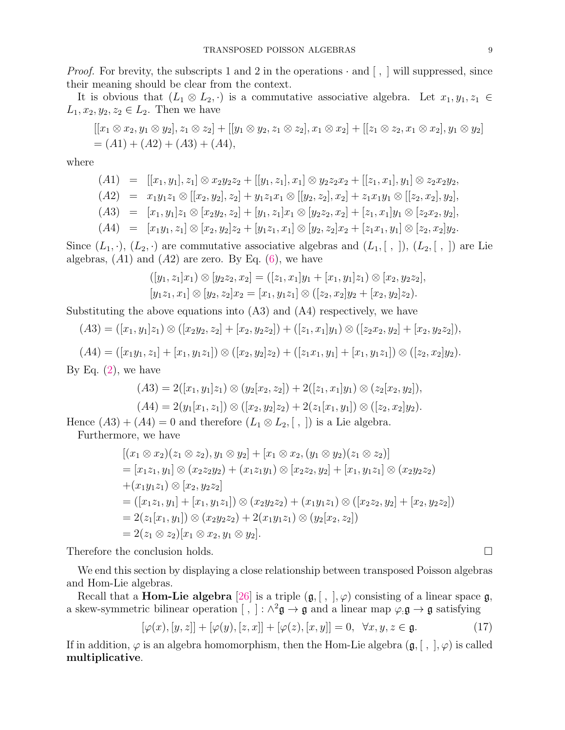*Proof.* For brevity, the subscripts 1 and 2 in the operations  $\cdot$  and  $\left[ \right]$ , will suppressed, since their meaning should be clear from the context.

It is obvious that  $(L_1 \otimes L_2, \cdot)$  is a commutative associative algebra. Let  $x_1, y_1, z_1 \in$  $L_1, x_2, y_2, z_2 \in L_2$ . Then we have

$$
[[x_1 \otimes x_2, y_1 \otimes y_2], z_1 \otimes z_2] + [[y_1 \otimes y_2, z_1 \otimes z_2], x_1 \otimes x_2] + [[z_1 \otimes z_2, x_1 \otimes x_2], y_1 \otimes y_2]
$$
  
=  $(A1) + (A2) + (A3) + (A4),$ 

where

$$
(A1) = [[x_1, y_1], z_1] \otimes x_2y_2z_2 + [[y_1, z_1], x_1] \otimes y_2z_2x_2 + [[z_1, x_1], y_1] \otimes z_2x_2y_2, (A2) = x_1y_1z_1 \otimes [[x_2, y_2], z_2] + y_1z_1x_1 \otimes [[y_2, z_2], x_2] + z_1x_1y_1 \otimes [[z_2, x_2], y_2], (A3) = [x_1, y_1]z_1 \otimes [x_2y_2, z_2] + [y_1, z_1]x_1 \otimes [y_2z_2, x_2] + [z_1, x_1]y_1 \otimes [z_2x_2, y_2], (A4) = [x_1y_1, z_1] \otimes [x_2, y_2]z_2 + [y_1z_1, x_1] \otimes [y_2, z_2]x_2 + [z_1x_1, y_1] \otimes [z_2, x_2]y_2.
$$

Since  $(L_1, \cdot), (L_2, \cdot)$  are commutative associative algebras and  $(L_1, [\cdot, \cdot]), (L_2, [\cdot, \cdot])$  are Lie algebras,  $(A1)$  and  $(A2)$  are zero. By Eq.  $(6)$ , we have

$$
([y_1, z_1]x_1) \otimes [y_2z_2, x_2] = ([z_1, x_1]y_1 + [x_1, y_1]z_1) \otimes [x_2, y_2z_2],
$$
  

$$
[y_1z_1, x_1] \otimes [y_2, z_2]x_2 = [x_1, y_1z_1] \otimes ([z_2, x_2]y_2 + [x_2, y_2]z_2).
$$

Substituting the above equations into (A3) and (A4) respectively, we have

$$
(A3) = ([x1, y1]z1) \otimes ([x2y2, z2] + [x2, y2z2]) + ([z1, x1]y1) \otimes ([z2x2, y2] + [x2, y2z2]),
$$

 $(A4) = ([x_1y_1, z_1] + [x_1, y_1z_1]) \otimes ([x_2, y_2]z_2) + ([z_1x_1, y_1] + [x_1, y_1z_1]) \otimes ([z_2, x_2]y_2).$ 

By Eq.  $(2)$ , we have

$$
(A3) = 2([x1, y1]z1) \otimes (y2[x2, z2]) + 2([z1, x1]y1) \otimes (z2[x2, y2]),(A4) = 2(y1[x1, z1]) \otimes ([x2, y2]z2) + 2(z1[x1, y1]) \otimes ([z2, x2]y2).
$$

Hence  $(A3) + (A4) = 0$  and therefore  $(L_1 \otimes L_2, [ , ])$  is a Lie algebra.

Furthermore, we have

$$
[(x_1 \otimes x_2)(z_1 \otimes z_2), y_1 \otimes y_2] + [x_1 \otimes x_2, (y_1 \otimes y_2)(z_1 \otimes z_2)]
$$
  
= 
$$
[x_1z_1, y_1] \otimes (x_2z_2y_2) + (x_1z_1y_1) \otimes [x_2z_2, y_2] + [x_1, y_1z_1] \otimes (x_2y_2z_2)
$$
  
+
$$
(x_1y_1z_1) \otimes [x_2, y_2z_2]
$$
  
= 
$$
([x_1z_1, y_1] + [x_1, y_1z_1]) \otimes (x_2y_2z_2) + (x_1y_1z_1) \otimes ([x_2z_2, y_2] + [x_2, y_2z_2])
$$
  
= 
$$
2(z_1[x_1, y_1]) \otimes (x_2y_2z_2) + 2(x_1y_1z_1) \otimes (y_2[x_2, z_2])
$$
  
= 
$$
2(z_1 \otimes z_2)[x_1 \otimes x_2, y_1 \otimes y_2].
$$

Therefore the conclusion holds.

We end this section by displaying a close relationship between transposed Poisson algebras and Hom-Lie algebras.

Recall that a **Hom-Lie algebra** [26] is a triple  $(\mathfrak{g}, [ , ], \varphi)$  consisting of a linear space  $\mathfrak{g},$ a skew-symmetric bilinear operation  $[ , ] : \wedge^2 \mathfrak{g} \to \mathfrak{g}$  and a linear map  $\varphi \colon \mathfrak{g} \to \mathfrak{g}$  satisfying

$$
[\varphi(x), [y, z]] + [\varphi(y), [z, x]] + [\varphi(z), [x, y]] = 0, \ \forall x, y, z \in \mathfrak{g}.
$$
 (17)

If in addition,  $\varphi$  is an algebra homomorphism, then the Hom-Lie algebra  $(\mathfrak{g}, [ , ], \varphi)$  is called multiplicative.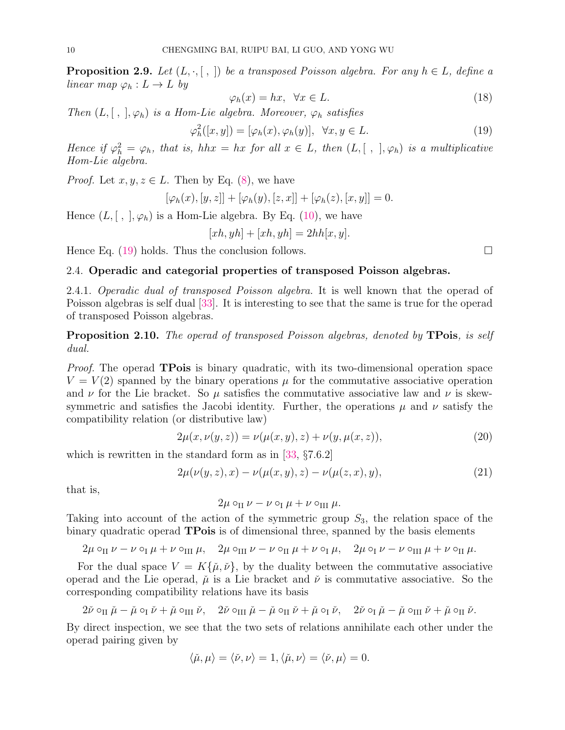**Proposition 2.9.** Let  $(L, \cdot, [\ , \ ])$  be a transposed Poisson algebra. For any  $h \in L$ , define a linear map  $\varphi_h: L \to L$  by

$$
\varphi_h(x) = hx, \quad \forall x \in L. \tag{18}
$$

Then  $(L, [ , ], \varphi_h)$  is a Hom-Lie algebra. Moreover,  $\varphi_h$  satisfies

$$
\varphi_h^2([x, y]) = [\varphi_h(x), \varphi_h(y)], \quad \forall x, y \in L. \tag{19}
$$

Hence if  $\varphi_h^2 = \varphi_h$ , that is, hhx = hx for all  $x \in L$ , then  $(L, [ , ], \varphi_h)$  is a multiplicative Hom-Lie algebra.

*Proof.* Let  $x, y, z \in L$ . Then by Eq. (8), we have

$$
[\varphi_h(x), [y, z]] + [\varphi_h(y), [z, x]] + [\varphi_h(z), [x, y]] = 0.
$$

Hence  $(L, [ , ], \varphi_h)$  is a Hom-Lie algebra. By Eq. (10), we have

$$
[xh, yh] + [xh, yh] = 2hh[x, y].
$$

Hence Eq. (19) holds. Thus the conclusion follows.  $\Box$ 

### 2.4. Operadic and categorial properties of transposed Poisson algebras.

2.4.1. Operadic dual of transposed Poisson algebra. It is well known that the operad of Poisson algebras is self dual [33]. It is interesting to see that the same is true for the operad of transposed Poisson algebras.

**Proposition 2.10.** The operad of transposed Poisson algebras, denoted by **TPois**, is self dual.

Proof. The operad **TPois** is binary quadratic, with its two-dimensional operation space  $V = V(2)$  spanned by the binary operations  $\mu$  for the commutative associative operation and  $\nu$  for the Lie bracket. So  $\mu$  satisfies the commutative associative law and  $\nu$  is skewsymmetric and satisfies the Jacobi identity. Further, the operations  $\mu$  and  $\nu$  satisfy the compatibility relation (or distributive law)

$$
2\mu(x,\nu(y,z)) = \nu(\mu(x,y),z) + \nu(y,\mu(x,z)),
$$
\n(20)

which is rewritten in the standard form as in [33, §7.6.2]

$$
2\mu(\nu(y,z),x) - \nu(\mu(x,y),z) - \nu(\mu(z,x),y),
$$
\n(21)

that is,

$$
2\mu \circ_{\text{II}} \nu - \nu \circ_{\text{I}} \mu + \nu \circ_{\text{III}} \mu.
$$

Taking into account of the action of the symmetric group  $S_3$ , the relation space of the binary quadratic operad **TPois** is of dimensional three, spanned by the basis elements

$$
2\mu \circ_{\Pi} \nu - \nu \circ_{\Pi} \mu + \nu \circ_{\Pi} \mu, \quad 2\mu \circ_{\Pi} \nu - \nu \circ_{\Pi} \mu + \nu \circ_{\Pi} \mu, \quad 2\mu \circ_{\Pi} \nu - \nu \circ_{\Pi} \mu + \nu \circ_{\Pi} \mu.
$$

For the dual space  $V = K\{\mu, \nu\}$ , by the duality between the commutative associative operad and the Lie operad,  $\check{\mu}$  is a Lie bracket and  $\check{\nu}$  is commutative associative. So the corresponding compatibility relations have its basis

$$
2\check{\nu}\circ_{\text{II}}\check{\mu}-\check{\mu}\circ_{\text{I}}\check{\nu}+\check{\mu}\circ_{\text{III}}\check{\nu},\quad 2\check{\nu}\circ_{\text{III}}\check{\mu}-\check{\mu}\circ_{\text{II}}\check{\nu}+\check{\mu}\circ_{\text{I}}\check{\nu},\quad 2\check{\nu}\circ_{\text{I}}\check{\mu}-\check{\mu}\circ_{\text{III}}\check{\nu}+\check{\mu}\circ_{\text{II}}\check{\nu}.
$$

By direct inspection, we see that the two sets of relations annihilate each other under the operad pairing given by

$$
\langle \check{\mu}, \mu \rangle = \langle \check{\nu}, \nu \rangle = 1, \langle \check{\mu}, \nu \rangle = \langle \check{\nu}, \mu \rangle = 0.
$$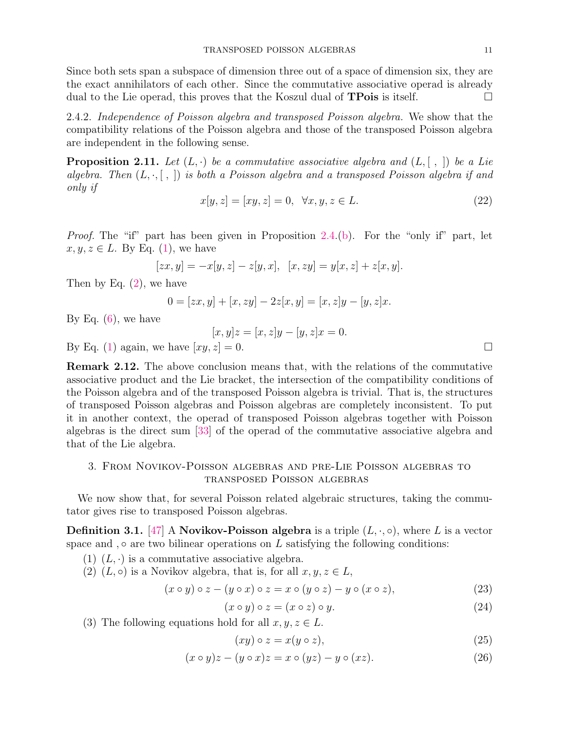Since both sets span a subspace of dimension three out of a space of dimension six, they are the exact annihilators of each other. Since the commutative associative operad is already dual to the Lie operad, this proves that the Koszul dual of **TPois** is itself.

2.4.2. Independence of Poisson algebra and transposed Poisson algebra. We show that the compatibility relations of the Poisson algebra and those of the transposed Poisson algebra are independent in the following sense.

**Proposition 2.11.** Let  $(L, \cdot)$  be a commutative associative algebra and  $(L, [\ , \ ])$  be a Lie algebra. Then  $(L, \cdot, [\; , \;])$  is both a Poisson algebra and a transposed Poisson algebra if and only if

$$
x[y, z] = [xy, z] = 0, \ \forall x, y, z \in L.
$$
 (22)

Proof. The "if" part has been given in Proposition 2.4.(b). For the "only if" part, let  $x, y, z \in L$ . By Eq. (1), we have

$$
[zx,y]=-x[y,z]-z[y,x],\ \ [x,zy]=y[x,z]+z[x,y].
$$

Then by Eq. (2), we have

$$
0 = [zx, y] + [x, zy] - 2z[x, y] = [x, z]y - [y, z]x.
$$

By Eq.  $(6)$ , we have

 $[x, y]z = [x, z]y - [y, z]x = 0.$ 

By Eq. (1) again, we have  $[xy, z] = 0$ .

Remark 2.12. The above conclusion means that, with the relations of the commutative associative product and the Lie bracket, the intersection of the compatibility conditions of the Poisson algebra and of the transposed Poisson algebra is trivial. That is, the structures of transposed Poisson algebras and Poisson algebras are completely inconsistent. To put it in another context, the operad of transposed Poisson algebras together with Poisson algebras is the direct sum [33] of the operad of the commutative associative algebra and that of the Lie algebra.

# 3. From Novikov-Poisson algebras and pre-Lie Poisson algebras to transposed Poisson algebras

We now show that, for several Poisson related algebraic structures, taking the commutator gives rise to transposed Poisson algebras.

**Definition 3.1.** [47] A **Novikov-Poisson algebra** is a triple  $(L, \cdot, \circ)$ , where L is a vector space and , $\circ$  are two bilinear operations on L satisfying the following conditions:

- (1)  $(L, \cdot)$  is a commutative associative algebra.
- (2)  $(L, \circ)$  is a Novikov algebra, that is, for all  $x, y, z \in L$ ,

$$
(x \circ y) \circ z - (y \circ x) \circ z = x \circ (y \circ z) - y \circ (x \circ z), \tag{23}
$$

$$
(x \circ y) \circ z = (x \circ z) \circ y. \tag{24}
$$

(3) The following equations hold for all  $x, y, z \in L$ .

$$
(xy) \circ z = x(y \circ z), \tag{25}
$$

$$
(x \circ y)z - (y \circ x)z = x \circ (yz) - y \circ (xz). \tag{26}
$$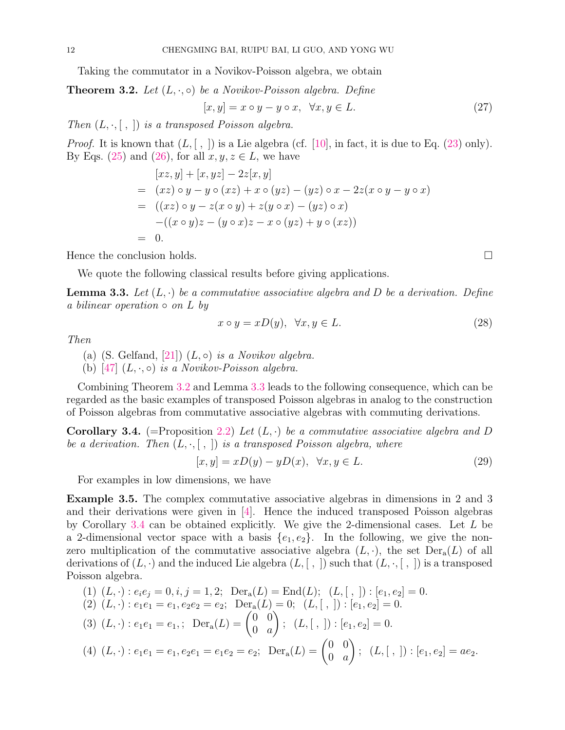Taking the commutator in a Novikov-Poisson algebra, we obtain

# **Theorem 3.2.** Let  $(L, \cdot, \circ)$  be a Novikov-Poisson algebra. Define

$$
[x, y] = x \circ y - y \circ x, \quad \forall x, y \in L. \tag{27}
$$

Then  $(L, \cdot, [ , ])$  is a transposed Poisson algebra.

*Proof.* It is known that  $(L, [ , ])$  is a Lie algebra (cf. [10], in fact, it is due to Eq. (23) only). By Eqs. (25) and (26), for all  $x, y, z \in L$ , we have

$$
[xz, y] + [x, yz] - 2z[x, y]
$$
  
=  $(xz) \circ y - y \circ (xz) + x \circ (yz) - (yz) \circ x - 2z(x \circ y - y \circ x)$   
=  $((xz) \circ y - z(x \circ y) + z(y \circ x) - (yz) \circ x)$   
 $-((x \circ y)z - (y \circ x)z - x \circ (yz) + y \circ (xz))$   
= 0.

Hence the conclusion holds.

We quote the following classical results before giving applications.

**Lemma 3.3.** Let  $(L, \cdot)$  be a commutative associative algebra and D be a derivation. Define a bilinear operation  $\circ$  on L by

$$
x \circ y = xD(y), \quad \forall x, y \in L. \tag{28}
$$

Then

- (a) (S. Gelfand, [21])  $(L, \circ)$  is a Novikov algebra.
- (b) [47]  $(L, \cdot, \circ)$  is a Novikov-Poisson algebra.

Combining Theorem 3.2 and Lemma 3.3 leads to the following consequence, which can be regarded as the basic examples of transposed Poisson algebras in analog to the construction of Poisson algebras from commutative associative algebras with commuting derivations.

**Corollary 3.4.** (=Proposition 2.2) Let  $(L, \cdot)$  be a commutative associative algebra and D be a derivation. Then  $(L, \cdot, [\; , \;])$  is a transposed Poisson algebra, where

$$
[x, y] = xD(y) - yD(x), \quad \forall x, y \in L. \tag{29}
$$

For examples in low dimensions, we have

Example 3.5. The complex commutative associative algebras in dimensions in 2 and 3 and their derivations were given in [4]. Hence the induced transposed Poisson algebras by Corollary 3.4 can be obtained explicitly. We give the 2-dimensional cases. Let  $L$  be a 2-dimensional vector space with a basis  $\{e_1, e_2\}$ . In the following, we give the nonzero multiplication of the commutative associative algebra  $(L, \cdot)$ , the set  $Der_a(L)$  of all derivations of  $(L, \cdot)$  and the induced Lie algebra  $(L, [\, , \,])$  such that  $(L, \cdot, [\, , \,])$  is a transposed Poisson algebra.

(1) 
$$
(L, \cdot): e_i e_j = 0, i, j = 1, 2;
$$
 Der<sub>a</sub> $(L) = \text{End}(L);$   $(L, [,]) : [e_1, e_2] = 0.$   
(2)  $(L, \cdot): e_1 e_1 = e_1, e_2 e_2 = e_2;$  Der<sub>a</sub> $(L) = 0;$   $(L, [,]) : [e_1, e_2] = 0.$ 

(3) 
$$
(L, \cdot): e_1e_1 = e_1
$$
;  $Der_a(L) = \begin{pmatrix} 0 & 0 \\ 0 & a \end{pmatrix}$ ;  $(L, [,]) : [e_1, e_2] = 0$ .

(4) 
$$
(L, \cdot): e_1e_1 = e_1, e_2e_1 = e_1e_2 = e_2;
$$
 Der<sub>a</sub> $(L) = \begin{pmatrix} 0 & 0 \\ 0 & a \end{pmatrix}; (L, [,]) : [e_1, e_2] = ae_2.$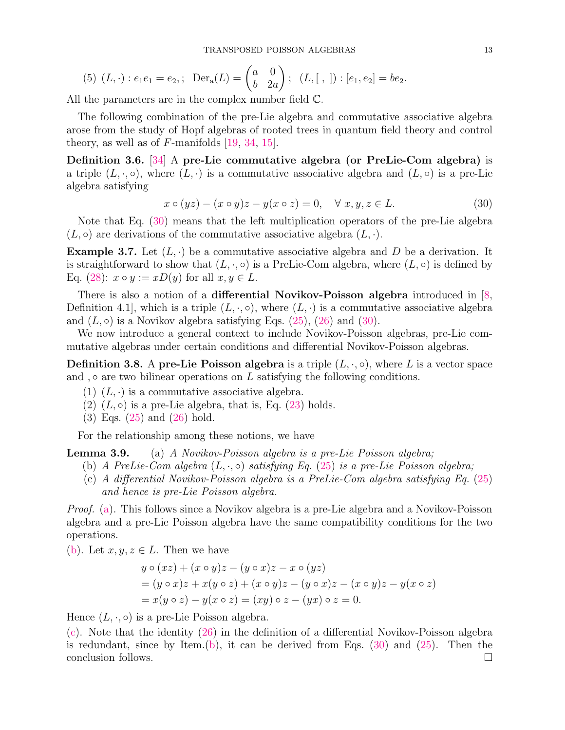(5) 
$$
(L, \cdot): e_1e_1 = e_2
$$
;  $Der_a(L) = \begin{pmatrix} a & 0 \\ b & 2a \end{pmatrix}$ ;  $(L, [,]) : [e_1, e_2] = be_2$ .

All the parameters are in the complex number field C.

The following combination of the pre-Lie algebra and commutative associative algebra arose from the study of Hopf algebras of rooted trees in quantum field theory and control theory, as well as of  $F$ -manifolds [19, 34, 15].

Definition 3.6. [34] A pre-Lie commutative algebra (or PreLie-Com algebra) is a triple  $(L, \cdot, \circ)$ , where  $(L, \cdot)$  is a commutative associative algebra and  $(L, \circ)$  is a pre-Lie algebra satisfying

$$
x \circ (yz) - (x \circ y)z - y(x \circ z) = 0, \quad \forall x, y, z \in L.
$$
 (30)

Note that Eq. (30) means that the left multiplication operators of the pre-Lie algebra  $(L, \circ)$  are derivations of the commutative associative algebra  $(L, \cdot)$ .

**Example 3.7.** Let  $(L, \cdot)$  be a commutative associative algebra and D be a derivation. It is straightforward to show that  $(L, \cdot, \circ)$  is a PreLie-Com algebra, where  $(L, \circ)$  is defined by Eq. (28):  $x \circ y := xD(y)$  for all  $x, y \in L$ .

There is also a notion of a differential Novikov-Poisson algebra introduced in  $[8, 8]$ Definition 4.1, which is a triple  $(L, \cdot, \circ)$ , where  $(L, \cdot)$  is a commutative associative algebra and  $(L, \circ)$  is a Novikov algebra satisfying Eqs.  $(25)$ ,  $(26)$  and  $(30)$ .

We now introduce a general context to include Novikov-Poisson algebras, pre-Lie commutative algebras under certain conditions and differential Novikov-Poisson algebras.

**Definition 3.8.** A pre-Lie Poisson algebra is a triple  $(L, \cdot, \circ)$ , where L is a vector space and , $\circ$  are two bilinear operations on L satisfying the following conditions.

- $(1)$   $(L, \cdot)$  is a commutative associative algebra.
- $(2)$   $(L, \circ)$  is a pre-Lie algebra, that is, Eq.  $(23)$  holds.
- (3) Eqs. (25) and (26) hold.

For the relationship among these notions, we have

**Lemma 3.9.** (a) A Novikov-Poisson algebra is a pre-Lie Poisson algebra;

- (b) A PreLie-Com algebra  $(L, \cdot, \circ)$  satisfying Eq. (25) is a pre-Lie Poisson algebra;
- (c) A differential Novikov-Poisson algebra is a PreLie-Com algebra satisfying Eq. (25) and hence is pre-Lie Poisson algebra.

Proof. (a). This follows since a Novikov algebra is a pre-Lie algebra and a Novikov-Poisson algebra and a pre-Lie Poisson algebra have the same compatibility conditions for the two operations.

(b). Let  $x, y, z \in L$ . Then we have

$$
y \circ (xz) + (x \circ y)z - (y \circ x)z - x \circ (yz)
$$
  
=  $(y \circ x)z + x(y \circ z) + (x \circ y)z - (y \circ x)z - (x \circ y)z - y(x \circ z)$   
=  $x(y \circ z) - y(x \circ z) = (xy) \circ z - (yx) \circ z = 0$ .

Hence  $(L, \cdot, \circ)$  is a pre-Lie Poisson algebra.

(c). Note that the identity (26) in the definition of a differential Novikov-Poisson algebra is redundant, since by Item.(b), it can be derived from Eqs. (30) and (25). Then the conclusion follows.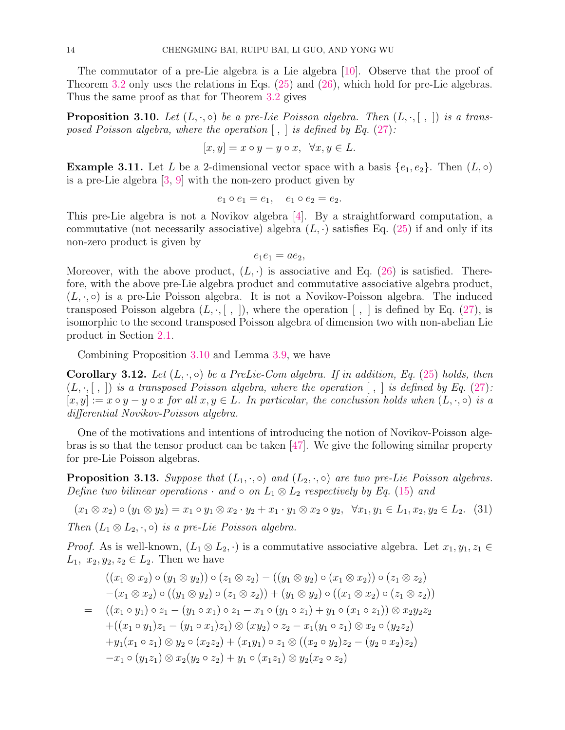The commutator of a pre-Lie algebra is a Lie algebra [10]. Observe that the proof of Theorem 3.2 only uses the relations in Eqs. (25) and (26), which hold for pre-Lie algebras. Thus the same proof as that for Theorem 3.2 gives

**Proposition 3.10.** Let  $(L, \cdot, \circ)$  be a pre-Lie Poisson algebra. Then  $(L, \cdot, [\; , \;])$  is a transposed Poisson algebra, where the operation  $\lceil$ ,  $\rceil$  is defined by Eq. (27):

$$
[x, y] = x \circ y - y \circ x, \ \forall x, y \in L.
$$

**Example 3.11.** Let L be a 2-dimensional vector space with a basis  $\{e_1, e_2\}$ . Then  $(L, \circ)$ is a pre-Lie algebra [3, 9] with the non-zero product given by

$$
e_1 \circ e_1 = e_1, \quad e_1 \circ e_2 = e_2.
$$

This pre-Lie algebra is not a Novikov algebra [4]. By a straightforward computation, a commutative (not necessarily associative) algebra  $(L, \cdot)$  satisfies Eq. (25) if and only if its non-zero product is given by

$$
e_1e_1 = ae_2,
$$

Moreover, with the above product,  $(L, \cdot)$  is associative and Eq. (26) is satisfied. Therefore, with the above pre-Lie algebra product and commutative associative algebra product,  $(L, \cdot, \circ)$  is a pre-Lie Poisson algebra. It is not a Novikov-Poisson algebra. The induced transposed Poisson algebra  $(L, \cdot, \lceil, \cdot \rceil)$ , where the operation  $\lceil, \cdot \rceil$  is defined by Eq. (27), is isomorphic to the second transposed Poisson algebra of dimension two with non-abelian Lie product in Section 2.1.

Combining Proposition 3.10 and Lemma 3.9, we have

**Corollary 3.12.** Let  $(L, \cdot, \circ)$  be a PreLie-Com algebra. If in addition, Eq. (25) holds, then  $(L, \cdot, [\cdot, \cdot])$  is a transposed Poisson algebra, where the operation  $[\cdot, \cdot]$  is defined by Eq. (27):  $[x, y] := x \circ y - y \circ x$  for all  $x, y \in L$ . In particular, the conclusion holds when  $(L, \cdot, \circ)$  is a differential Novikov-Poisson algebra.

One of the motivations and intentions of introducing the notion of Novikov-Poisson algebras is so that the tensor product can be taken [47]. We give the following similar property for pre-Lie Poisson algebras.

**Proposition 3.13.** Suppose that  $(L_1, \cdot, \circ)$  and  $(L_2, \cdot, \circ)$  are two pre-Lie Poisson algebras. Define two bilinear operations  $\cdot$  and  $\circ$  on  $L_1 \otimes L_2$  respectively by Eq. (15) and

$$
(x_1 \otimes x_2) \circ (y_1 \otimes y_2) = x_1 \circ y_1 \otimes x_2 \cdot y_2 + x_1 \cdot y_1 \otimes x_2 \circ y_2, \quad \forall x_1, y_1 \in L_1, x_2, y_2 \in L_2. \tag{31}
$$
  
Then  $(L_1 \otimes L_2, \cdot, \circ)$  is a pre-Lie Poisson algebra.

*Proof.* As is well-known,  $(L_1 \otimes L_2, \cdot)$  is a commutative associative algebra. Let  $x_1, y_1, z_1 \in$  $L_1, x_2, y_2, z_2 \in L_2$ . Then we have

$$
((x_1 \otimes x_2) \circ (y_1 \otimes y_2)) \circ (z_1 \otimes z_2) - ((y_1 \otimes y_2) \circ (x_1 \otimes x_2)) \circ (z_1 \otimes z_2)
$$
  
\n
$$
-(x_1 \otimes x_2) \circ ((y_1 \otimes y_2) \circ (z_1 \otimes z_2)) + (y_1 \otimes y_2) \circ ((x_1 \otimes x_2) \circ (z_1 \otimes z_2))
$$
  
\n
$$
= ((x_1 \circ y_1) \circ z_1 - (y_1 \circ x_1) \circ z_1 - x_1 \circ (y_1 \circ z_1) + y_1 \circ (x_1 \circ z_1)) \otimes x_2 y_2 z_2
$$
  
\n
$$
+ ((x_1 \circ y_1)z_1 - (y_1 \circ x_1)z_1) \otimes (xy_2) \circ z_2 - x_1(y_1 \circ z_1) \otimes x_2 \circ (y_2 z_2)
$$
  
\n
$$
+ y_1(x_1 \circ z_1) \otimes y_2 \circ (x_2 z_2) + (x_1 y_1) \circ z_1 \otimes ((x_2 \circ y_2)z_2 - (y_2 \circ x_2)z_2)
$$
  
\n
$$
-x_1 \circ (y_1 z_1) \otimes x_2(y_2 \circ z_2) + y_1 \circ (x_1 z_1) \otimes y_2(x_2 \circ z_2)
$$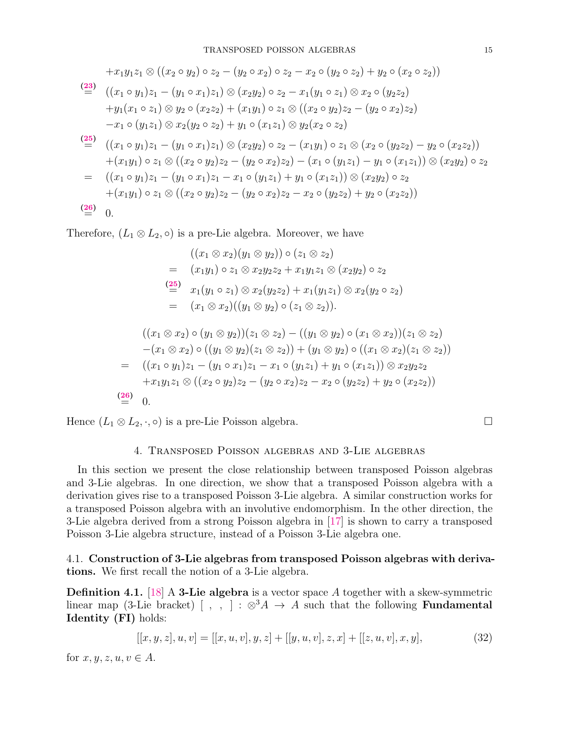$$
+x_1y_1z_1 \otimes ((x_2 \circ y_2) \circ z_2 - (y_2 \circ x_2) \circ z_2 - x_2 \circ (y_2 \circ z_2) + y_2 \circ (x_2 \circ z_2))
$$
\n
$$
\stackrel{(23)}{=} ((x_1 \circ y_1)z_1 - (y_1 \circ x_1)z_1) \otimes (x_2y_2) \circ z_2 - x_1(y_1 \circ z_1) \otimes x_2 \circ (y_2z_2)
$$
\n
$$
+y_1(x_1 \circ z_1) \otimes y_2 \circ (x_2z_2) + (x_1y_1) \circ z_1 \otimes ((x_2 \circ y_2)z_2 - (y_2 \circ x_2)z_2)
$$
\n
$$
-x_1 \circ (y_1z_1) \otimes x_2(y_2 \circ z_2) + y_1 \circ (x_1z_1) \otimes y_2(x_2 \circ z_2)
$$
\n
$$
\stackrel{(25)}{=} ((x_1 \circ y_1)z_1 - (y_1 \circ x_1)z_1) \otimes (x_2y_2) \circ z_2 - (x_1y_1) \circ z_1 \otimes (x_2 \circ (y_2z_2) - y_2 \circ (x_2z_2))
$$
\n
$$
+ (x_1y_1) \circ z_1 \otimes ((x_2 \circ y_2)z_2 - (y_2 \circ x_2)z_2) - (x_1 \circ (y_1z_1) - y_1 \circ (x_1z_1)) \otimes (x_2y_2) \circ z_2
$$
\n
$$
= ((x_1 \circ y_1)z_1 - (y_1 \circ x_1)z_1 - x_1 \circ (y_1z_1) + y_1 \circ (x_1z_1)) \otimes (x_2y_2) \circ z_2
$$
\n
$$
+ (x_1y_1) \circ z_1 \otimes ((x_2 \circ y_2)z_2 - (y_2 \circ x_2)z_2 - x_2 \circ (y_2z_2) + y_2 \circ (x_2z_2))
$$
\n
$$
\stackrel{(26)}{=} 0.
$$

Therefore,  $(L_1 \otimes L_2, \circ)$  is a pre-Lie algebra. Moreover, we have

$$
((x_1 \otimes x_2)(y_1 \otimes y_2)) \circ (z_1 \otimes z_2)
$$
  
=  $(x_1y_1) \circ z_1 \otimes x_2y_2z_2 + x_1y_1z_1 \otimes (x_2y_2) \circ z_2$   

$$
\stackrel{(25)}{=} x_1(y_1 \circ z_1) \otimes x_2(y_2z_2) + x_1(y_1z_1) \otimes x_2(y_2 \circ z_2)
$$
  
=  $(x_1 \otimes x_2)((y_1 \otimes y_2) \circ (z_1 \otimes z_2)).$   

$$
((x_1 \otimes x_2) \circ (y_1 \otimes y_2))(z_1 \otimes z_2) - ((y_1 \otimes y_2) \circ (x_1 \otimes x_2))(z_1 \otimes z_2)
$$
  

$$
-(x_1 \otimes x_2) \circ ((y_1 \otimes y_2)(z_1 \otimes z_2)) + (y_1 \otimes y_2) \circ ((x_1 \otimes x_2)(z_1 \otimes z_2))
$$
  
=  $((x_1 \circ y_1)z_1 - (y_1 \circ x_1)z_1 - x_1 \circ (y_1z_1) + y_1 \circ (x_1z_1)) \otimes x_2y_2z_2$   

$$
+ x_1y_1z_1 \otimes ((x_2 \circ y_2)z_2 - (y_2 \circ x_2)z_2 - x_2 \circ (y_2z_2) + y_2 \circ (x_2z_2))
$$

 $\stackrel{(26)}{=} 0.$ 

Hence  $(L_1 \otimes L_2, \cdot, \circ)$  is a pre-Lie Poisson algebra.

### 4. Transposed Poisson algebras and 3-Lie algebras

In this section we present the close relationship between transposed Poisson algebras and 3-Lie algebras. In one direction, we show that a transposed Poisson algebra with a derivation gives rise to a transposed Poisson 3-Lie algebra. A similar construction works for a transposed Poisson algebra with an involutive endomorphism. In the other direction, the 3-Lie algebra derived from a strong Poisson algebra in [17] is shown to carry a transposed Poisson 3-Lie algebra structure, instead of a Poisson 3-Lie algebra one.

4.1. Construction of 3-Lie algebras from transposed Poisson algebras with derivations. We first recall the notion of a 3-Lie algebra.

**Definition 4.1.** [18] A **3-Lie algebra** is a vector space A together with a skew-symmetric linear map (3-Lie bracket) [,,] :  $\otimes^3 A \rightarrow A$  such that the following **Fundamental** Identity (FI) holds:

$$
[[x, y, z], u, v] = [[x, u, v], y, z] + [[y, u, v], z, x] + [[z, u, v], x, y],
$$
\n(32)

for  $x, y, z, u, v \in A$ .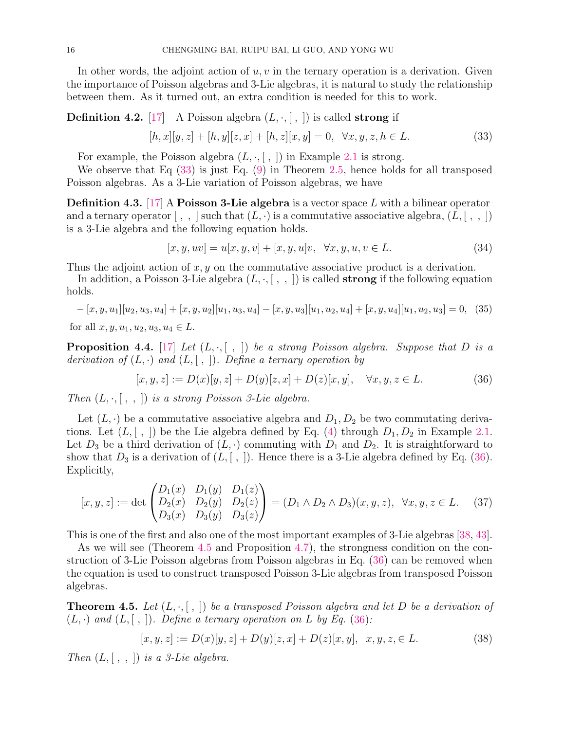In other words, the adjoint action of  $u, v$  in the ternary operation is a derivation. Given the importance of Poisson algebras and 3-Lie algebras, it is natural to study the relationship between them. As it turned out, an extra condition is needed for this to work.

## **Definition 4.2.** [17] A Poisson algebra  $(L, \cdot, [\; , \;])$  is called **strong** if

$$
[h, x][y, z] + [h, y][z, x] + [h, z][x, y] = 0, \quad \forall x, y, z, h \in L.
$$
\n(33)

For example, the Poisson algebra  $(L, \cdot, \lceil, \cdot \rceil)$  in Example 2.1 is strong.

We observe that Eq (33) is just Eq. (9) in Theorem 2.5, hence holds for all transposed Poisson algebras. As a 3-Lie variation of Poisson algebras, we have

**Definition 4.3.** [17] A **Poisson 3-Lie algebra** is a vector space L with a bilinear operator and a ternary operator  $[ , , ]$  such that  $(L, \cdot)$  is a commutative associative algebra,  $(L, [ , , ])$ is a 3-Lie algebra and the following equation holds.

$$
[x, y, uv] = u[x, y, v] + [x, y, u]v, \quad \forall x, y, u, v \in L.
$$
\n(34)

Thus the adjoint action of  $x, y$  on the commutative associative product is a derivation.

In addition, a Poisson 3-Lie algebra  $(L, \cdot, [\ , \ , \ )$  is called **strong** if the following equation holds.

$$
-[x, y, u1][u2, u3, u4] + [x, y, u2][u1, u3, u4] - [x, y, u3][u1, u2, u4] + [x, y, u4][u1, u2, u3] = 0, (35)
$$

for all  $x, y, u_1, u_2, u_3, u_4 \in L$ .

**Proposition 4.4.** [17] Let  $(L, \cdot, [\; , \;])$  be a strong Poisson algebra. Suppose that D is a derivation of  $(L, \cdot)$  and  $(L, [\cdot, \cdot])$ . Define a ternary operation by

$$
[x, y, z] := D(x)[y, z] + D(y)[z, x] + D(z)[x, y], \quad \forall x, y, z \in L.
$$
 (36)

Then  $(L, \cdot, [ , , ])$  is a strong Poisson 3-Lie algebra.

Let  $(L, \cdot)$  be a commutative associative algebra and  $D_1, D_2$  be two commutating derivations. Let  $(L, [ , ])$  be the Lie algebra defined by Eq. (4) through  $D_1, D_2$  in Example 2.1. Let  $D_3$  be a third derivation of  $(L, \cdot)$  commuting with  $D_1$  and  $D_2$ . It is straightforward to show that  $D_3$  is a derivation of  $(L, [ , ])$ . Hence there is a 3-Lie algebra defined by Eq. (36). Explicitly,

$$
[x, y, z] := \det \begin{pmatrix} D_1(x) & D_1(y) & D_1(z) \\ D_2(x) & D_2(y) & D_2(z) \\ D_3(x) & D_3(y) & D_3(z) \end{pmatrix} = (D_1 \wedge D_2 \wedge D_3)(x, y, z), \quad \forall x, y, z \in L. \tag{37}
$$

This is one of the first and also one of the most important examples of 3-Lie algebras [38, 43].

As we will see (Theorem 4.5 and Proposition 4.7), the strongness condition on the construction of 3-Lie Poisson algebras from Poisson algebras in Eq. (36) can be removed when the equation is used to construct transposed Poisson 3-Lie algebras from transposed Poisson algebras.

**Theorem 4.5.** Let  $(L, \cdot, [\; , \;])$  be a transposed Poisson algebra and let D be a derivation of  $(L, \cdot)$  and  $(L, \vert , \vert)$ . Define a ternary operation on L by Eq. (36):

$$
[x, y, z] := D(x)[y, z] + D(y)[z, x] + D(z)[x, y], \quad x, y, z, \in L.
$$
\n(38)

Then  $(L, [ , , ])$  is a 3-Lie algebra.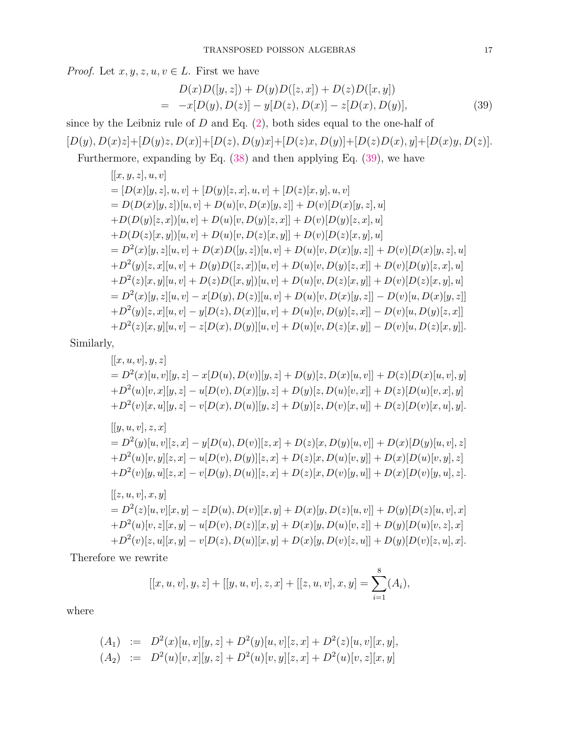*Proof.* Let  $x, y, z, u, v \in L$ . First we have

$$
D(x)D([y, z]) + D(y)D([z, x]) + D(z)D([x, y])
$$
  
= -x[D(y), D(z)] - y[D(z), D(x)] - z[D(x), D(y)], (39)

since by the Leibniz rule of  $D$  and Eq.  $(2)$ , both sides equal to the one-half of  $[D(y), D(x)z]+[D(y)z, D(x)]+[D(z), D(y)x]+[D(z)x, D(y)]+[D(z)D(x), y]+[D(x)y, D(z)].$ 

Furthermore, expanding by Eq. (38) and then applying Eq. (39), we have

$$
[[x, y, z], u, v] \n= [D(x)[y, z], u, v] + [D(y)[z, x], u, v] + [D(z)[x, y], u, v] \n= D(D(x)[y, z])[u, v] + D(u)[v, D(x)[y, z]] + D(v)[D(x)[y, z], u] \n+ D(D(y)[z, x])[u, v] + D(u)[v, D(y)[z, x]] + D(v)[D(y)[z, x], u] \n+ D(D(z)[x, y])[u, v] + D(u)[v, D(z)[x, y]] + D(v)[D(z)[x, y], u] \n= D2(x)[y, z][u, v] + D(x)D([y, z])[u, v] + D(u)[v, D(x)[y, z]] + D(v)[D(x)[y, z], u] \n+ D2(y)[z, x][u, v] + D(y)D([z, x])[u, v] + D(u)[v, D(y)[z, x]] + D(v)[D(y)[z, x], u] \n+ D2(z)[x, y][u, v] + D(z)D([x, y])[u, v] + D(u)[v, D(z)[x, y]] + D(v)[D(z)[x, y], u] \n= D2(x)[y, z][u, v] - x[D(y), D(z)][u, v] + D(u)[v, D(x)[y, z]] - D(v)[u, D(x)[y, z]] \n+ D2(y)[z, x][u, v] - y[D(z), D(x)][u, v] + D(u)[v, D(y)[z, x]] - D(v)[u, D(y)[z, x]] \n+ D2(z)[x, y][u, v] - z[D(x), D(y)][u, v] + D(u)[v, D(z)[x, y]] - D(v)[u, D(z)[x, y]].
$$

Similarly,

$$
[[x, u, v], y, z]
$$
  
=  $D^2(x)[u, v][y, z] - x[D(u), D(v)][y, z] + D(y)[z, D(x)[u, v]] + D(z)[D(x)[u, v], y]$   
+  $D^2(u)[v, x][y, z] - u[D(v), D(x)][y, z] + D(y)[z, D(u)[v, x]] + D(z)[D(u)[v, x], y]$   
+  $D^2(v)[x, u][y, z] - v[D(x), D(u)][y, z] + D(y)[z, D(v)[x, u]] + D(z)[D(v)[x, u], y].$   

$$
[[y, u, v], z, x]
$$
  
=  $D^2(y)[u, v][z, x] - y[D(u), D(v)][z, x] + D(z)[x, D(y)[u, v]] + D(x)[D(y)[u, v], z]$   
+  $D^2(u)[v, y][z, x] - u[D(v), D(y)][z, x] + D(z)[x, D(u)[v, y]] + D(x)[D(u)[v, y], z]$   
+  $D^2(v)[y, u][z, x] - v[D(y), D(u)][z, x] + D(z)[x, D(v)[y, u]] + D(x)[D(v)[y, u], z].$   

$$
[[z, u, v], x, y]
$$
  
=  $D^2(z)[u, v][x, y] - z[D(u), D(v)][x, y] + D(x)[y, D(z)[u, v]] + D(y)[D(z)[u, v], x]$   
+  $D^2(u)[v, z][x, y] - u[D(v), D(z)][x, y] + D(x)[y, D(u)[v, z]] + D(y)[D(u)[v, z], x]$   
+  $D^2(v)[z, u][x, y] - v[D(z), D(u)][x, y] + D(x)[y, D(v)[z, u]] + D(y)[D(v)[z, u], x].$ 

Therefore we rewrite

$$
[[x, u, v], y, z] + [[y, u, v], z, x] + [[z, u, v], x, y] = \sum_{i=1}^{8} (A_i),
$$

where

$$
(A_1) := D^2(x)[u, v][y, z] + D^2(y)[u, v][z, x] + D^2(z)[u, v][x, y],
$$
  
\n
$$
(A_2) := D^2(u)[v, x][y, z] + D^2(u)[v, y][z, x] + D^2(u)[v, z][x, y]
$$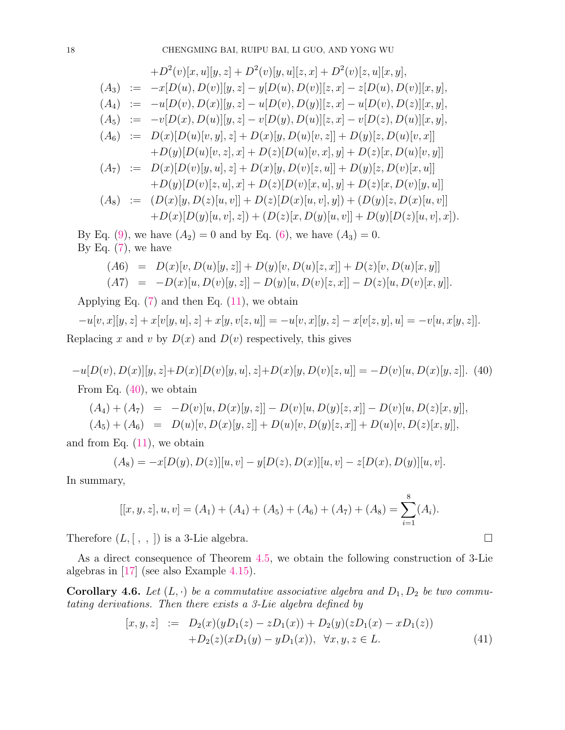$$
+D^{2}(v)[x, u][y, z] + D^{2}(v)[y, u][z, x] + D^{2}(v)[z, u][x, y],
$$
  
\n
$$
(A_{3}) := -x[D(u), D(v)][y, z] - y[D(u), D(v)][z, x] - z[D(u), D(v)][x, y],
$$
  
\n
$$
(A_{4}) := -u[D(v), D(x)][y, z] - u[D(v), D(y)][z, x] - u[D(v), D(z)][x, y],
$$
  
\n
$$
(A_{5}) := -v[D(x), D(u)][y, z] - v[D(y), D(u)][z, x] - v[D(z), D(u)][x, y],
$$
  
\n
$$
(A_{6}) := D(x)[D(u)[v, y], z] + D(x)[y, D(u)[v, z]] + D(y)[z, D(u)[v, x]]
$$
  
\n
$$
+D(y)[D(u)[v, z], x] + D(z)[D(u)[v, x], y] + D(z)[x, D(u)[v, y]]
$$
  
\n
$$
(A_{7}) := D(x)[D(v)[y, u], z] + D(x)[y, D(v)[z, u]] + D(y)[z, D(v)[x, u]]
$$
  
\n
$$
+D(y)[D(v)[z, u], x] + D(z)[D(v)[x, u], y] + D(z)[x, D(v)[y, u]]
$$
  
\n
$$
(A_{8}) := (D(x)[y, D(z)[u, v]] + D(z)[D(x)[u, v], y]) + (D(y)[z, D(x)[u, v]] + D(x)[D(y)[u, v], x]).
$$

By Eq. (9), we have  $(A_2) = 0$  and by Eq. (6), we have  $(A_3) = 0$ . By Eq.  $(7)$ , we have

$$
(A6) = D(x)[v, D(u)[y, z]] + D(y)[v, D(u)[z, x]] + D(z)[v, D(u)[x, y]]
$$
  

$$
(A7) = -D(x)[u, D(v)[y, z]] - D(y)[u, D(v)[z, x]] - D(z)[u, D(v)[x, y]].
$$

Applying Eq.  $(7)$  and then Eq.  $(11)$ , we obtain

 $-u[v, x][y, z] + x[v[y, u], z] + x[y, v[z, u]] = -u[v, x][y, z] - x[v[z, y], u] = -v[u, x[y, z]].$ Replacing x and v by  $D(x)$  and  $D(v)$  respectively, this gives

 $-u[D(v), D(x)][y, z]+D(x)[D(v)[y, u], z]+D(x)[y, D(v)[z, u]] = -D(v)[u, D(x)[y, z]]$ . (40) From Eq. (40), we obtain

$$
(A_4) + (A_7) = -D(v)[u, D(x)[y, z]] - D(v)[u, D(y)[z, x]] - D(v)[u, D(z)[x, y]],
$$
  
\n
$$
(A_5) + (A_6) = D(u)[v, D(x)[y, z]] + D(u)[v, D(y)[z, x]] + D(u)[v, D(z)[x, y]],
$$

and from Eq.  $(11)$ , we obtain

$$
(A_8) = -x[D(y), D(z)][u, v] - y[D(z), D(x)][u, v] - z[D(x), D(y)][u, v].
$$

In summary,

$$
[[x, y, z], u, v] = (A_1) + (A_4) + (A_5) + (A_6) + (A_7) + (A_8) = \sum_{i=1}^{8} (A_i).
$$

Therefore  $(L, [ , , ])$  is a 3-Lie algebra.

As a direct consequence of Theorem 4.5, we obtain the following construction of 3-Lie algebras in [17] (see also Example 4.15).

**Corollary 4.6.** Let  $(L, \cdot)$  be a commutative associative algebra and  $D_1, D_2$  be two commutating derivations. Then there exists a 3-Lie algebra defined by

$$
[x, y, z] := D_2(x)(yD_1(z) - zD_1(x)) + D_2(y)(zD_1(x) - xD_1(z))
$$
  
+
$$
D_2(z)(xD_1(y) - yD_1(x)), \forall x, y, z \in L.
$$
 (41)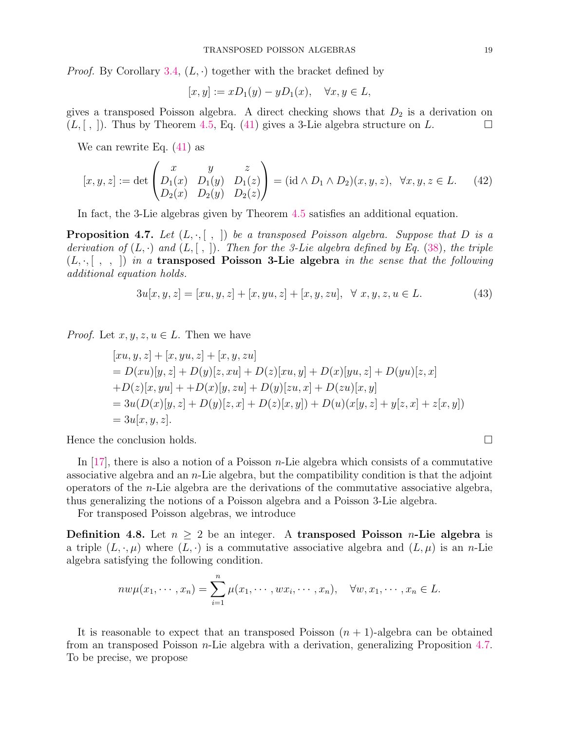*Proof.* By Corollary 3.4,  $(L, \cdot)$  together with the bracket defined by

$$
[x, y] := xD_1(y) - yD_1(x), \quad \forall x, y \in L,
$$

gives a transposed Poisson algebra. A direct checking shows that  $D_2$  is a derivation on  $(L, [ , ])$ . Thus by Theorem 4.5, Eq. (41) gives a 3-Lie algebra structure on L.

We can rewrite Eq. (41) as

$$
[x, y, z] := \det \begin{pmatrix} x & y & z \\ D_1(x) & D_1(y) & D_1(z) \\ D_2(x) & D_2(y) & D_2(z) \end{pmatrix} = (\mathrm{id} \wedge D_1 \wedge D_2)(x, y, z), \quad \forall x, y, z \in L. \tag{42}
$$

In fact, the 3-Lie algebras given by Theorem 4.5 satisfies an additional equation.

**Proposition 4.7.** Let  $(L, \cdot, [\ , \ ])$  be a transposed Poisson algebra. Suppose that D is a derivation of  $(L, \cdot)$  and  $(L, \vert , \vert)$ . Then for the 3-Lie algebra defined by Eq. (38), the triple  $(L, \cdot, [\ , \ , \ ])$  in a transposed Poisson 3-Lie algebra in the sense that the following additional equation holds.

$$
3u[x, y, z] = [xu, y, z] + [x, yu, z] + [x, y, zu], \quad \forall x, y, z, u \in L.
$$
\n(43)

*Proof.* Let  $x, y, z, u \in L$ . Then we have

$$
[xu, y, z] + [x, yu, z] + [x, y, zu]
$$
  
=  $D(xu)[y, z] + D(y)[z, xu] + D(z)[xu, y] + D(x)[yu, z] + D(yu)[z, x]$   
+ $D(z)[x, yu] + + D(x)[y, zu] + D(y)[zu, x] + D(zu)[x, y]$   
=  $3u(D(x)[y, z] + D(y)[z, x] + D(z)[x, y]) + D(u)(x[y, z] + y[z, x] + z[x, y])$   
=  $3u[x, y, z].$ 

Hence the conclusion holds.

In  $[17]$ , there is also a notion of a Poisson *n*-Lie algebra which consists of a commutative associative algebra and an  $n$ -Lie algebra, but the compatibility condition is that the adjoint operators of the  $n$ -Lie algebra are the derivations of the commutative associative algebra, thus generalizing the notions of a Poisson algebra and a Poisson 3-Lie algebra.

For transposed Poisson algebras, we introduce

**Definition 4.8.** Let  $n \geq 2$  be an integer. A transposed Poisson *n*-Lie algebra is a triple  $(L, \cdot, \mu)$  where  $(L, \cdot)$  is a commutative associative algebra and  $(L, \mu)$  is an n-Lie algebra satisfying the following condition.

$$
nw\mu(x_1,\dots,x_n)=\sum_{i=1}^n\mu(x_1,\dots,x_i,\dots,x_n),\quad \forall w,x_1,\dots,x_n\in L.
$$

It is reasonable to expect that an transposed Poisson  $(n + 1)$ -algebra can be obtained from an transposed Poisson n-Lie algebra with a derivation, generalizing Proposition 4.7. To be precise, we propose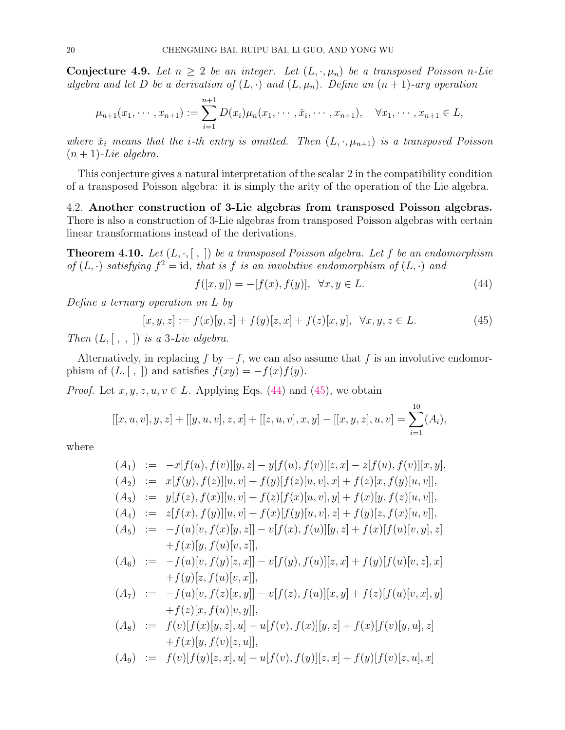Conjecture 4.9. Let  $n \geq 2$  be an integer. Let  $(L, \cdot, \mu_n)$  be a transposed Poisson n-Lie algebra and let D be a derivation of  $(L, \cdot)$  and  $(L, \mu_n)$ . Define an  $(n + 1)$ -ary operation

$$
\mu_{n+1}(x_1,\dots,x_{n+1}) := \sum_{i=1}^{n+1} D(x_i)\mu_n(x_1,\dots,\check{x}_i,\dots,x_{n+1}), \quad \forall x_1,\dots,x_{n+1} \in L,
$$

where  $\check{x}_i$  means that the *i*-th entry is omitted. Then  $(L, \cdot, \mu_{n+1})$  is a transposed Poisson  $(n+1)$ -Lie algebra.

This conjecture gives a natural interpretation of the scalar 2 in the compatibility condition of a transposed Poisson algebra: it is simply the arity of the operation of the Lie algebra.

4.2. Another construction of 3-Lie algebras from transposed Poisson algebras. There is also a construction of 3-Lie algebras from transposed Poisson algebras with certain linear transformations instead of the derivations.

**Theorem 4.10.** Let  $(L, \cdot, [\ , \ ])$  be a transposed Poisson algebra. Let f be an endomorphism of  $(L, \cdot)$  satisfying  $f^2 = id$ , that is f is an involutive endomorphism of  $(L, \cdot)$  and

$$
f([x, y]) = -[f(x), f(y)], \ \forall x, y \in L.
$$
 (44)

Define a ternary operation on L by

$$
[x, y, z] := f(x)[y, z] + f(y)[z, x] + f(z)[x, y], \quad \forall x, y, z \in L.
$$
 (45)

Then  $(L, [ , , ])$  is a 3-Lie algebra.

Alternatively, in replacing f by  $-f$ , we can also assume that f is an involutive endomorphism of  $(L, [ , ])$  and satisfies  $f(xy) = -f(x)f(y)$ .

*Proof.* Let  $x, y, z, u, v \in L$ . Applying Eqs. (44) and (45), we obtain

$$
[[x, u, v], y, z] + [[y, u, v], z, x] + [[z, u, v], x, y] - [[x, y, z], u, v] = \sum_{i=1}^{10} (A_i),
$$

where

$$
(A_1) := -x[f(u), f(v)][y, z] - y[f(u), f(v)][z, x] - z[f(u), f(v)][x, y],(A_2) := x[f(y), f(z)][u, v] + f(y)[f(z)[u, v], x] + f(z)[x, f(y)[u, v]],(A_3) := y[f(z), f(x)][u, v] + f(z)[f(x)[u, v], y] + f(x)[y, f(z)[u, v]],(A_4) := z[f(x), f(y)][u, v] + f(x)[f(y)[u, v], z] + f(y)[z, f(x)[u, v]],(A_5) := -f(u)[v, f(x)[y, z]] - v[f(x), f(u)][y, z] + f(x)[f(u)[v, y], z]+f(x)[y, f(u)[v, z]],(A_6) := -f(u)[v, f(y)[z, x]] - v[f(y), f(u)][z, x] + f(y)[f(u)[v, z], x]+f(y)[z, f(u)[v, x]],(A_7) := -f(u)[v, f(z)[x, y]] - v[f(z), f(u)][x, y] + f(z)[f(u)[v, x], y]+f(z)[x, f(u)[v, y]],(A_8) := f(v)[f(x)[y, z], u] - u[f(v), f(x)][y, z] + f(x)[f(v)[y, u], z]+f(x)[y, f(v)[z, u]],
$$

$$
(A_9) \quad := \quad f(v)[f(y)[z, x], u] - u[f(v), f(y)][z, x] + f(y)[f(v)[z, u], x]
$$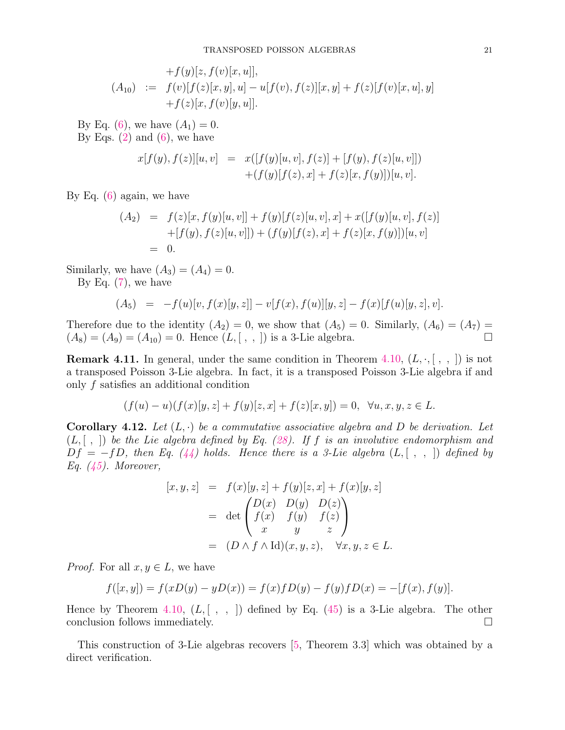$$
+f(y)[z, f(v)[x, u]],
$$
  
(A<sub>10</sub>) :=  $f(v)[f(z)[x, y], u] - u[f(v), f(z)][x, y] + f(z)[f(v)[x, u], y]$   
+ $f(z)[x, f(v)[y, u]].$ 

By Eq. (6), we have  $(A_1) = 0$ . By Eqs.  $(2)$  and  $(6)$ , we have

$$
x[f(y), f(z)][u, v] = x([f(y)[u, v], f(z)] + [f(y), f(z)[u, v]])
$$
  
 
$$
+ (f(y)[f(z), x] + f(z)[x, f(y)]] [u, v].
$$

By Eq.  $(6)$  again, we have

$$
(A_2) = f(z)[x, f(y)[u, v]] + f(y)[f(z)[u, v], x] + x([f(y)[u, v], f(z)]+ [f(y), f(z)[u, v]]) + (f(y)[f(z), x] + f(z)[x, f(y)])[u, v]= 0.
$$

Similarly, we have  $(A_3) = (A_4) = 0$ .

By Eq.  $(7)$ , we have

$$
(A_5) = -f(u)[v, f(x)[y, z]] - v[f(x), f(u)][y, z] - f(x)[f(u)[y, z], v].
$$

Therefore due to the identity  $(A_2) = 0$ , we show that  $(A_5) = 0$ . Similarly,  $(A_6) = (A_7) =$  $(A_8) = (A_9) = (A_{10}) = 0$ . Hence  $(L, [ , , ])$  is a 3-Lie algebra.

**Remark 4.11.** In general, under the same condition in Theorem 4.10,  $(L, \cdot, [ , , ])$  is not a transposed Poisson 3-Lie algebra. In fact, it is a transposed Poisson 3-Lie algebra if and only f satisfies an additional condition

$$
(f(u) - u)(f(x)[y, z] + f(y)[z, x] + f(z)[x, y]) = 0, \quad \forall u, x, y, z \in L.
$$

**Corollary 4.12.** Let  $(L, \cdot)$  be a commutative associative algebra and D be derivation. Let  $(L, [ , ])$  be the Lie algebra defined by Eq. (28). If f is an involutive endomorphism and  $Df = -fD$ , then Eq. (44) holds. Hence there is a 3-Lie algebra  $(L, [\ , , \ ])$  defined by Eq. (45). Moreover,

$$
[x, y, z] = f(x)[y, z] + f(y)[z, x] + f(x)[y, z]
$$
  

$$
= det \begin{pmatrix} D(x) & D(y) & D(z) \\ f(x) & f(y) & f(z) \\ x & y & z \end{pmatrix}
$$
  

$$
= (D \wedge f \wedge Id)(x, y, z), \quad \forall x, y, z \in L.
$$

*Proof.* For all  $x, y \in L$ , we have

$$
f([x, y]) = f(xD(y) - yD(x)) = f(x)f(D(y) - f(y)f(D(x)) = -[f(x), f(y)].
$$

Hence by Theorem 4.10,  $(L, [ , , ])$  defined by Eq. (45) is a 3-Lie algebra. The other conclusion follows immediately.  $\Box$ 

This construction of 3-Lie algebras recovers [5, Theorem 3.3] which was obtained by a direct verification.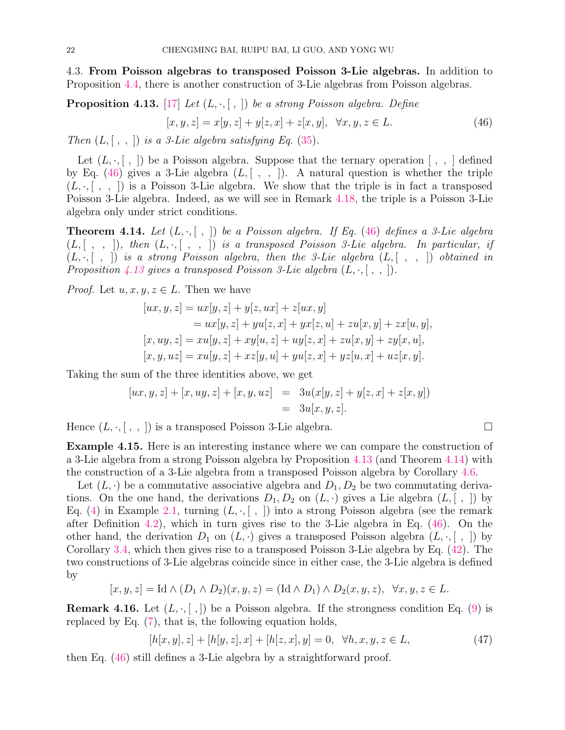4.3. From Poisson algebras to transposed Poisson 3-Lie algebras. In addition to Proposition 4.4, there is another construction of 3-Lie algebras from Poisson algebras.

**Proposition 4.13.** [17] Let 
$$
(L, \cdot, [ , ])
$$
 be a strong Poisson algebra. Define  

$$
[x, y, z] = x[y, z] + y[z, x] + z[x, y], \quad \forall x, y, z \in L.
$$
 (46)

Then  $(L, [\, , \, , \,])$  is a 3-Lie algebra satisfying Eq. (35).

Let  $(L, \cdot, [\; , \;])$  be a Poisson algebra. Suppose that the ternary operation  $[\; , \; , \;]$  defined by Eq. (46) gives a 3-Lie algebra  $(L, [ , , ])$ . A natural question is whether the triple  $(L, \cdot, [\ , \ , \ ])$  is a Poisson 3-Lie algebra. We show that the triple is in fact a transposed Poisson 3-Lie algebra. Indeed, as we will see in Remark 4.18, the triple is a Poisson 3-Lie algebra only under strict conditions.

**Theorem 4.14.** Let  $(L, \cdot, [\ , \ ])$  be a Poisson algebra. If Eq. (46) defines a 3-Lie algebra  $(L, [ , , ],$  then  $(L, \cdot, [ , , ])$  is a transposed Poisson 3-Lie algebra. In particular, if  $(L, \cdot, [ , ])$  is a strong Poisson algebra, then the 3-Lie algebra  $(L, [ , , ])$  obtained in Proposition 4.13 gives a transposed Poisson 3-Lie algebra  $(L, \cdot, [\, , \, ])$ .

*Proof.* Let  $u, x, y, z \in L$ . Then we have

$$
[ux, y, z] = ux[y, z] + y[z, ux] + z[ux, y]
$$
  
=  $ux[y, z] + yu[z, x] + yx[z, u] + zu[x, y] + zx[u, y],$   

$$
[x, uy, z] = xu[y, z] + xy[u, z] + uy[z, x] + zu[x, y] + zy[x, u],
$$
  

$$
[x, y, uz] = xu[y, z] + xz[y, u] + yu[z, x] + yz[u, x] + uz[x, y].
$$

Taking the sum of the three identities above, we get

$$
[ux, y, z] + [x, uy, z] + [x, y, uz] = 3u(x[y, z] + y[z, x] + z[x, y])
$$
  
= 3u[x, y, z].

Hence  $(L, \cdot, [\ , \ , \ ])$  is a transposed Poisson 3-Lie algebra.

Example 4.15. Here is an interesting instance where we can compare the construction of a 3-Lie algebra from a strong Poisson algebra by Proposition 4.13 (and Theorem 4.14) with the construction of a 3-Lie algebra from a transposed Poisson algebra by Corollary 4.6.

Let  $(L, \cdot)$  be a commutative associative algebra and  $D_1, D_2$  be two commutating derivations. On the one hand, the derivations  $D_1, D_2$  on  $(L, \cdot)$  gives a Lie algebra  $(L, [\; , \;])$  by Eq. (4) in Example 2.1, turning  $(L, \cdot, [ , ])$  into a strong Poisson algebra (see the remark after Definition 4.2), which in turn gives rise to the 3-Lie algebra in Eq. (46). On the other hand, the derivation  $D_1$  on  $(L, \cdot)$  gives a transposed Poisson algebra  $(L, \cdot, [\; , \;])$  by Corollary 3.4, which then gives rise to a transposed Poisson 3-Lie algebra by Eq. (42). The two constructions of 3-Lie algebras coincide since in either case, the 3-Lie algebra is defined by

$$
[x, y, z] = \text{Id} \wedge (D_1 \wedge D_2)(x, y, z) = (\text{Id} \wedge D_1) \wedge D_2(x, y, z), \quad \forall x, y, z \in L.
$$

**Remark 4.16.** Let  $(L, \cdot, [\cdot,])$  be a Poisson algebra. If the strongness condition Eq. (9) is replaced by Eq. (7), that is, the following equation holds,

$$
[h[x, y], z] + [h[y, z], x] + [h[z, x], y] = 0, \quad \forall h, x, y, z \in L,
$$
\n(47)

then Eq. (46) still defines a 3-Lie algebra by a straightforward proof.

$$
\qquad \qquad \Box
$$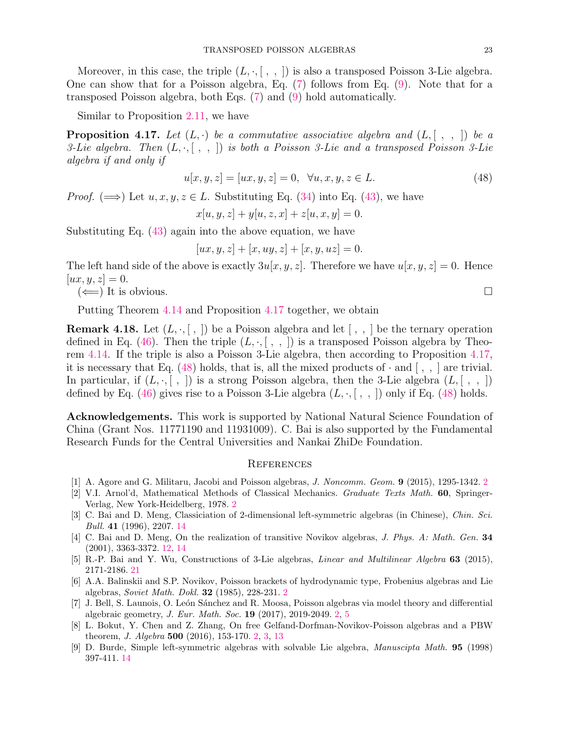Moreover, in this case, the triple  $(L, \cdot, [ , , ])$  is also a transposed Poisson 3-Lie algebra. One can show that for a Poisson algebra, Eq. (7) follows from Eq. (9). Note that for a transposed Poisson algebra, both Eqs. (7) and (9) hold automatically.

Similar to Proposition 2.11, we have

**Proposition 4.17.** Let  $(L, \cdot)$  be a commutative associative algebra and  $(L, [\ , , \ ])$  be a 3-Lie algebra. Then  $(L, \cdot, [\ , \ , \ )$  is both a Poisson 3-Lie and a transposed Poisson 3-Lie algebra if and only if

$$
u[x, y, z] = [ux, y, z] = 0, \quad \forall u, x, y, z \in L.
$$
\n(48)

*Proof.* ( $\implies$ ) Let  $u, x, y, z \in L$ . Substituting Eq. (34) into Eq. (43), we have

$$
x[u, y, z] + y[u, z, x] + z[u, x, y] = 0.
$$

Substituting Eq. (43) again into the above equation, we have

$$
[ux, y, z] + [x, uy, z] + [x, y, uz] = 0.
$$

The left hand side of the above is exactly  $3u[x, y, z]$ . Therefore we have  $u[x, y, z] = 0$ . Hence  $[ux, y, z] = 0.$ 

 $(\Leftarrow)$  It is obvious.

Putting Theorem 4.14 and Proposition 4.17 together, we obtain

**Remark 4.18.** Let  $(L, \cdot, [\, , \,])$  be a Poisson algebra and let  $[\, , \, , \,]$  be the ternary operation defined in Eq. (46). Then the triple  $(L, \cdot, [ , , ])$  is a transposed Poisson algebra by Theorem 4.14. If the triple is also a Poisson 3-Lie algebra, then according to Proposition 4.17, it is necessary that Eq. (48) holds, that is, all the mixed products of  $\cdot$  and  $\langle , , \rangle$  are trivial. In particular, if  $(L, \cdot, [ , ])$  is a strong Poisson algebra, then the 3-Lie algebra  $(L, [ , , ])$ defined by Eq. (46) gives rise to a Poisson 3-Lie algebra  $(L, \cdot, [ , , ])$  only if Eq. (48) holds.

Acknowledgements. This work is supported by National Natural Science Foundation of China (Grant Nos. 11771190 and 11931009). C. Bai is also supported by the Fundamental Research Funds for the Central Universities and Nankai ZhiDe Foundation.

#### **REFERENCES**

- [1] A. Agore and G. Militaru, Jacobi and Poisson algebras, J. Noncomm. Geom. 9 (2015), 1295-1342. 2
- [2] V.I. Arnol'd, Mathematical Methods of Classical Mechanics. Graduate Texts Math. 60, Springer-Verlag, New York-Heidelberg, 1978. 2
- [3] C. Bai and D. Meng, Classiciation of 2-dimensional left-symmetric algebras (in Chinese), Chin. Sci. Bull. 41 (1996), 2207. 14
- [4] C. Bai and D. Meng, On the realization of transitive Novikov algebras, J. Phys. A: Math. Gen. 34 (2001), 3363-3372. 12, 14
- [5] R.-P. Bai and Y. Wu, Constructions of 3-Lie algebras, Linear and Multilinear Algebra 63 (2015), 2171-2186. 21
- [6] A.A. Balinskii and S.P. Novikov, Poisson brackets of hydrodynamic type, Frobenius algebras and Lie algebras, Soviet Math. Dokl. 32 (1985), 228-231. 2
- [7] J. Bell, S. Launois, O. León Sánchez and R. Moosa, Poisson algebras via model theory and differential algebraic geometry, J. Eur. Math. Soc. 19 (2017), 2019-2049. 2, 5
- [8] L. Bokut, Y. Chen and Z. Zhang, On free Gelfand-Dorfman-Novikov-Poisson algebras and a PBW theorem, J. Algebra 500 (2016), 153-170. 2, 3, 13
- [9] D. Burde, Simple left-symmetric algebras with solvable Lie algebra, Manuscipta Math. 95 (1998) 397-411. 14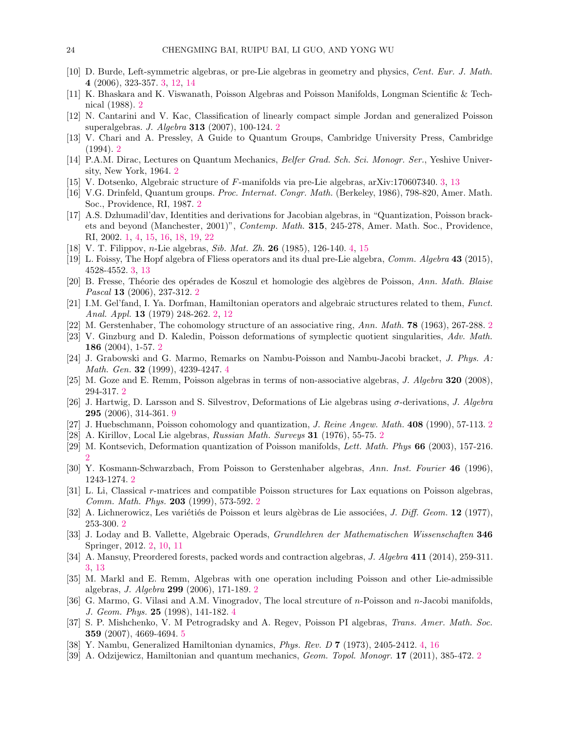- [10] D. Burde, Left-symmetric algebras, or pre-Lie algebras in geometry and physics, Cent. Eur. J. Math. 4 (2006), 323-357. 3, 12, 14
- [11] K. Bhaskara and K. Viswanath, Poisson Algebras and Poisson Manifolds, Longman Scientific & Technical (1988). 2
- [12] N. Cantarini and V. Kac, Classification of linearly compact simple Jordan and generalized Poisson superalgebras. J. Algebra 313 (2007), 100-124. 2
- [13] V. Chari and A. Pressley, A Guide to Quantum Groups, Cambridge University Press, Cambridge (1994). 2
- [14] P.A.M. Dirac, Lectures on Quantum Mechanics, Belfer Grad. Sch. Sci. Monogr. Ser., Yeshive University, New York, 1964. 2
- [15] V. Dotsenko, Algebraic structure of F-manifolds via pre-Lie algebras, arXiv:170607340. 3, 13
- [16] V.G. Drinfeld, Quantum groups. Proc. Internat. Congr. Math. (Berkeley, 1986), 798-820, Amer. Math. Soc., Providence, RI, 1987. 2
- [17] A.S. Dzhumadil'dav, Identities and derivations for Jacobian algebras, in "Quantization, Poisson brackets and beyond (Manchester, 2001)", Contemp. Math. 315, 245-278, Amer. Math. Soc., Providence, RI, 2002. 1, 4, 15, 16, 18, 19, 22
- [18] V. T. Filippov, n-Lie algebras, Sib. Mat. Zh. 26 (1985), 126-140. 4, 15
- [19] L. Foissy, The Hopf algebra of Fliess operators and its dual pre-Lie algebra, Comm. Algebra 43 (2015), 4528-4552. 3, 13
- [20] B. Fresse, Théorie des opérades de Koszul et homologie des algèbres de Poisson, Ann. Math. Blaise Pascal 13 (2006), 237-312. 2
- [21] I.M. Gel'fand, I. Ya. Dorfman, Hamiltonian operators and algebraic structures related to them, Funct. Anal. Appl. 13 (1979) 248-262. 2, 12
- [22] M. Gerstenhaber, The cohomology structure of an associative ring, Ann. Math. 78 (1963), 267-288. 2
- [23] V. Ginzburg and D. Kaledin, Poisson deformations of symplectic quotient singularities, Adv. Math. 186 (2004), 1-57. 2
- [24] J. Grabowski and G. Marmo, Remarks on Nambu-Poisson and Nambu-Jacobi bracket, J. Phys. A: Math. Gen. 32 (1999), 4239-4247. 4
- [25] M. Goze and E. Remm, Poisson algebras in terms of non-associative algebras, J. Algebra 320 (2008), 294-317. 2
- [26] J. Hartwig, D. Larsson and S. Silvestrov, Deformations of Lie algebras using  $\sigma$ -derivations, J. Algebra 295 (2006), 314-361. 9
- [27] J. Huebschmann, Poisson cohomology and quantization, *J. Reine Angew. Math.* 408 (1990), 57-113. 2
- [28] A. Kirillov, Local Lie algebras, Russian Math. Surveys 31 (1976), 55-75. 2
- [29] M. Kontsevich, Deformation quantization of Poisson manifolds, Lett. Math. Phys 66 (2003), 157-216. 2
- [30] Y. Kosmann-Schwarzbach, From Poisson to Gerstenhaber algebras, Ann. Inst. Fourier 46 (1996), 1243-1274. 2
- [31] L. Li, Classical r-matrices and compatible Poisson structures for Lax equations on Poisson algebras, Comm. Math. Phys. 203 (1999), 573-592. 2
- [32] A. Lichnerowicz, Les variétiés de Poisson et leurs algèbras de Lie associées, *J. Diff. Geom.* **12** (1977), 253-300. 2
- [33] J. Loday and B. Vallette, Algebraic Operads, Grundlehren der Mathematischen Wissenschaften 346 Springer, 2012. 2, 10, 11
- [34] A. Mansuy, Preordered forests, packed words and contraction algebras, J. Algebra 411 (2014), 259-311. 3, 13
- [35] M. Markl and E. Remm, Algebras with one operation including Poisson and other Lie-admissible algebras, J. Algebra 299 (2006), 171-189. 2
- [36] G. Marmo, G. Vilasi and A.M. Vinogradov, The local strcuture of n-Poisson and n-Jacobi manifolds, J. Geom. Phys. 25 (1998), 141-182. 4
- [37] S. P. Mishchenko, V. M Petrogradsky and A. Regev, Poisson PI algebras, Trans. Amer. Math. Soc. 359 (2007), 4669-4694. 5
- [38] Y. Nambu, Generalized Hamiltonian dynamics, Phys. Rev. D 7 (1973), 2405-2412. 4, 16
- [39] A. Odzijewicz, Hamiltonian and quantum mechanics, Geom. Topol. Monogr. 17 (2011), 385-472. 2